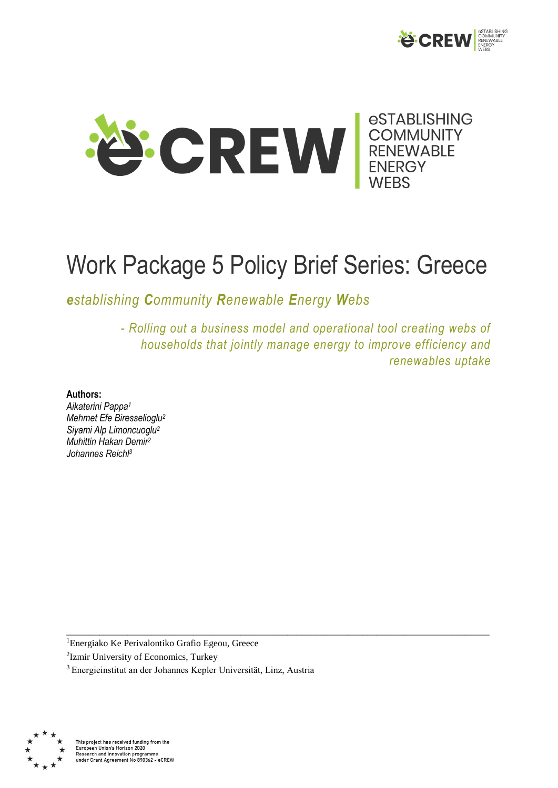



# Work Package 5 Policy Brief Series: Greece

\_\_\_\_\_\_\_\_\_\_\_\_\_\_\_\_\_\_\_\_\_\_\_\_\_\_\_\_\_\_\_\_\_\_\_\_\_\_\_\_\_\_\_\_\_\_\_\_\_\_\_\_\_\_\_\_\_\_\_\_\_\_\_\_\_\_\_\_\_\_\_\_\_\_\_\_\_\_\_\_\_\_\_\_\_\_\_\_\_\_

*establishing Community Renewable Energy Webs* 

*- Rolling out a business model and operational tool creating webs of households that jointly manage energy to improve efficiency and renewables uptake*

#### **Authors:**

*Aikaterini Pappa<sup>1</sup> Mehmet Efe Biresselioglu<sup>2</sup> Siyami Alp Limoncuoglu<sup>2</sup> Muhittin Hakan Demir<sup>2</sup> Johannes Reichl<sup>3</sup>*

<sup>1</sup>Energiako Ke Perivalontiko Grafio Egeou, Greece

<sup>2</sup>Izmir University of Economics, Turkey

<sup>3</sup>Energieinstitut an der Johannes Kepler Universität, Linz, Austria



This project has received funding from the Furopean Union's Horizon 2020<br>Research and Innovation programme<br>under Grant Agreement No 890362 - eCREW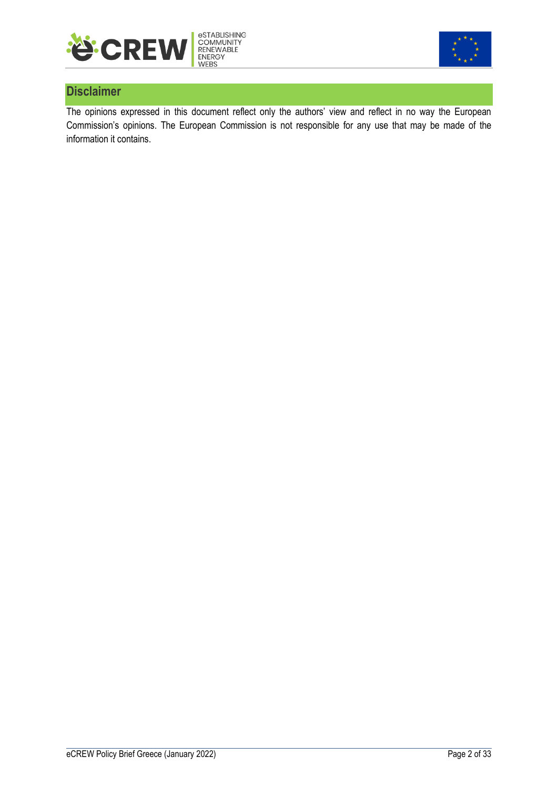



## **Disclaimer**

The opinions expressed in this document reflect only the authors' view and reflect in no way the European Commission's opinions. The European Commission is not responsible for any use that may be made of the information it contains.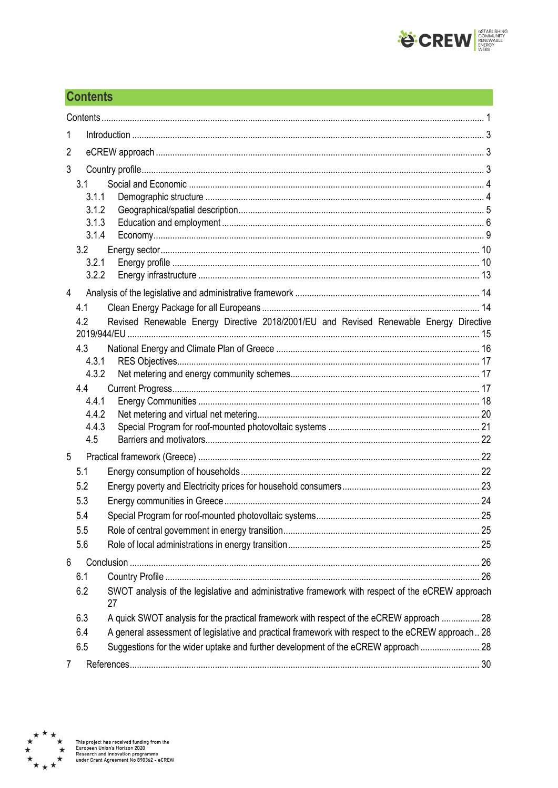

## <span id="page-2-0"></span>**Contents**

| 1              |                                                                                                   |  |
|----------------|---------------------------------------------------------------------------------------------------|--|
| 2              |                                                                                                   |  |
| 3              |                                                                                                   |  |
| 3.1            |                                                                                                   |  |
| 3.1.1          |                                                                                                   |  |
| 3.1.2          |                                                                                                   |  |
| 3.1.3<br>3.1.4 |                                                                                                   |  |
| 3.2            |                                                                                                   |  |
| 3.2.1          |                                                                                                   |  |
| 3.2.2          |                                                                                                   |  |
| $\overline{4}$ |                                                                                                   |  |
| 4.1            |                                                                                                   |  |
| 4.2            | Revised Renewable Energy Directive 2018/2001/EU and Revised Renewable Energy Directive            |  |
| 4.3            |                                                                                                   |  |
| 4.3.1          |                                                                                                   |  |
| 4.3.2<br>4.4   |                                                                                                   |  |
| 4.4.1          |                                                                                                   |  |
| 4.4.2          |                                                                                                   |  |
| 4.4.3          |                                                                                                   |  |
| 4.5            |                                                                                                   |  |
| 5              |                                                                                                   |  |
| 5.1            |                                                                                                   |  |
| 5.2            |                                                                                                   |  |
| 5.3            |                                                                                                   |  |
| 5.4<br>5.5     |                                                                                                   |  |
| 5.6            |                                                                                                   |  |
| 6              |                                                                                                   |  |
| 6.1            |                                                                                                   |  |
| 6.2            | SWOT analysis of the legislative and administrative framework with respect of the eCREW approach  |  |
|                | 27                                                                                                |  |
| 6.3            | A quick SWOT analysis for the practical framework with respect of the eCREW approach  28          |  |
| 6.4            | A general assessment of legislative and practical framework with respect to the eCREW approach 28 |  |
| 6.5            | Suggestions for the wider uptake and further development of the eCREW approach  28                |  |
|                |                                                                                                   |  |

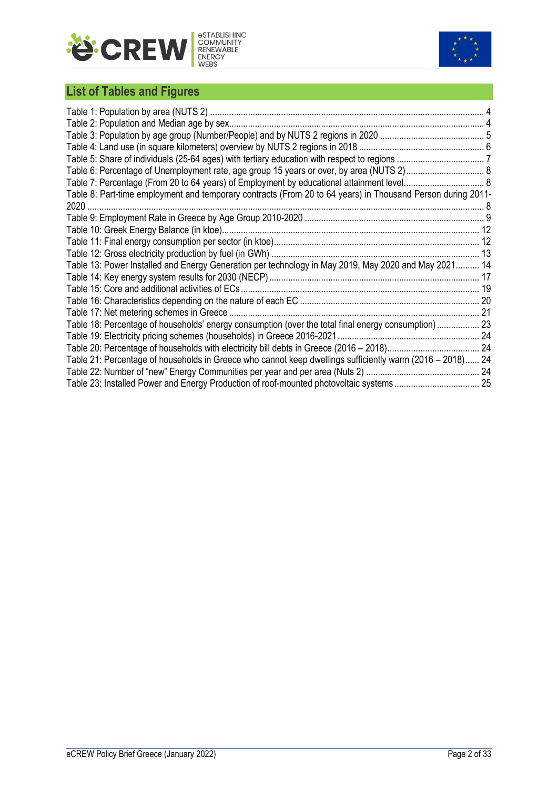



## **List of Tables and Figures**

| Table 7: Percentage (From 20 to 64 years) of Employment by educational attainment level 8                   |  |
|-------------------------------------------------------------------------------------------------------------|--|
| Table 8: Part-time employment and temporary contracts (From 20 to 64 years) in Thousand Person during 2011- |  |
|                                                                                                             |  |
|                                                                                                             |  |
|                                                                                                             |  |
|                                                                                                             |  |
|                                                                                                             |  |
| Table 13: Power Installed and Energy Generation per technology in May 2019, May 2020 and May 2021 14        |  |
|                                                                                                             |  |
|                                                                                                             |  |
|                                                                                                             |  |
|                                                                                                             |  |
| Table 18: Percentage of households' energy consumption (over the total final energy consumption) 23         |  |
|                                                                                                             |  |
|                                                                                                             |  |
| Table 21: Percentage of households in Greece who cannot keep dwellings sufficiently warm (2016 – 2018) 24   |  |
|                                                                                                             |  |
|                                                                                                             |  |
|                                                                                                             |  |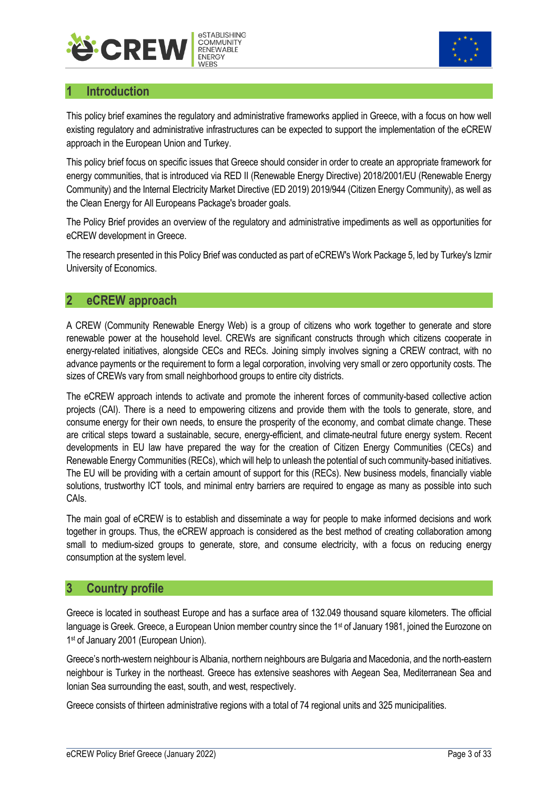



## <span id="page-4-0"></span>**1 Introduction**

This policy brief examines the regulatory and administrative frameworks applied in Greece, with a focus on how well existing regulatory and administrative infrastructures can be expected to support the implementation of the eCREW approach in the European Union and Turkey.

This policy brief focus on specific issues that Greece should consider in order to create an appropriate framework for energy communities, that is introduced via RED II (Renewable Energy Directive) 2018/2001/EU (Renewable Energy Community) and the Internal Electricity Market Directive (ED 2019) 2019/944 (Citizen Energy Community), as well as the Clean Energy for All Europeans Package's broader goals.

The Policy Brief provides an overview of the regulatory and administrative impediments as well as opportunities for eCREW development in Greece.

The research presented in this Policy Brief was conducted as part of eCREW's Work Package 5, led by Turkey's Izmir University of Economics.

## <span id="page-4-1"></span>**2 eCREW approach**

A CREW (Community Renewable Energy Web) is a group of citizens who work together to generate and store renewable power at the household level. CREWs are significant constructs through which citizens cooperate in energy-related initiatives, alongside CECs and RECs. Joining simply involves signing a CREW contract, with no advance payments or the requirement to form a legal corporation, involving very small or zero opportunity costs. The sizes of CREWs vary from small neighborhood groups to entire city districts.

The eCREW approach intends to activate and promote the inherent forces of community-based collective action projects (CAI). There is a need to empowering citizens and provide them with the tools to generate, store, and consume energy for their own needs, to ensure the prosperity of the economy, and combat climate change. These are critical steps toward a sustainable, secure, energy-efficient, and climate-neutral future energy system. Recent developments in EU law have prepared the way for the creation of Citizen Energy Communities (CECs) and Renewable Energy Communities (RECs), which will help to unleash the potential of such community-based initiatives. The EU will be providing with a certain amount of support for this (RECs). New business models, financially viable solutions, trustworthy ICT tools, and minimal entry barriers are required to engage as many as possible into such CAIs.

The main goal of eCREW is to establish and disseminate a way for people to make informed decisions and work together in groups. Thus, the eCREW approach is considered as the best method of creating collaboration among small to medium-sized groups to generate, store, and consume electricity, with a focus on reducing energy consumption at the system level.

## <span id="page-4-2"></span>**3 Country profile**

Greece is located in southeast Europe and has a surface area of 132.049 thousand square kilometers. The official language is Greek. Greece, a European Union member country since the 1<sup>st</sup> of January 1981, joined the Eurozone on 1<sup>st</sup> of January 2001 (European Union).

Greece's north-western neighbour is Albania, northern neighbours are Bulgaria and Macedonia, and the north-eastern neighbour is Turkey in the northeast. Greece has extensive seashores with Aegean Sea, Mediterranean Sea and Ionian Sea surrounding the east, south, and west, respectively.

Greece consists of thirteen administrative regions with a total of 74 regional units and 325 municipalities.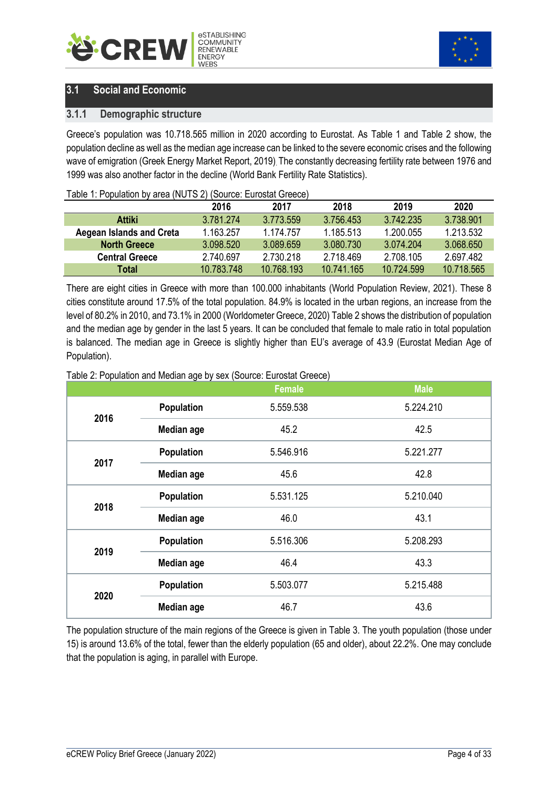<span id="page-5-2"></span>



## <span id="page-5-0"></span>**3.1 Social and Economic**

#### <span id="page-5-1"></span>**3.1.1 Demographic structure**

Greece's population was 10.718.565 million in 2020 according to Eurostat. As Table 1 and Table 2 show, the population decline as well as the median age increase can be linked to the severe economic crises and the following wave of emigration (Greek Energy Market Report, 2019). The constantly decreasing fertility rate between 1976 and 1999 was also another factor in the decline (World Bank Fertility Rate Statistics).

#### Table 1: Population by area (NUTS 2) (Source: Eurostat Greece)

|                                 | 2016       | 2017       | 2018       | 2019       | 2020       |
|---------------------------------|------------|------------|------------|------------|------------|
| <b>Attiki</b>                   | 3.781.274  | 3.773.559  | 3.756.453  | 3.742.235  | 3.738.901  |
| <b>Aegean Islands and Creta</b> | 1.163.257  | 1.174.757  | 1.185.513  | 1.200.055  | 1.213.532  |
| <b>North Greece</b>             | 3.098.520  | 3.089.659  | 3.080.730  | 3.074.204  | 3.068.650  |
| <b>Central Greece</b>           | 2.740.697  | 2.730.218  | 2.718.469  | 2.708.105  | 2.697.482  |
| Total                           | 10.783.748 | 10.768.193 | 10.741.165 | 10 724 599 | 10.718.565 |

There are eight cities in Greece with more than 100.000 inhabitants (World Population Review, 2021). These 8 cities constitute around 17.5% of the total population. 84.9% is located in the urban regions, an increase from the level of 80.2% in 2010, and 73.1% in 2000 (Worldometer Greece, 2020) Table 2 shows the distribution of population and the median age by gender in the last 5 years. It can be concluded that female to male ratio in total population is balanced. The median age in Greece is slightly higher than EU's average of 43.9 (Eurostat Median Age of Population).

|      |                   | <b>Female</b> | <b>Male</b> |
|------|-------------------|---------------|-------------|
| 2016 | <b>Population</b> | 5.559.538     | 5.224.210   |
|      | <b>Median age</b> | 45.2          | 42.5        |
| 2017 | <b>Population</b> | 5.546.916     | 5.221.277   |
|      | <b>Median age</b> | 45.6          | 42.8        |
|      | <b>Population</b> | 5.531.125     | 5.210.040   |
| 2018 | <b>Median age</b> | 46.0          | 43.1        |
| 2019 | <b>Population</b> | 5.516.306     | 5.208.293   |
|      | <b>Median age</b> | 46.4          | 43.3        |
| 2020 | <b>Population</b> | 5.503.077     | 5.215.488   |
|      | <b>Median age</b> | 46.7          | 43.6        |

Table 2: Population and Median age by sex (Source: Eurostat Greece)

The population structure of the main regions of the Greece is given in Table 3. The youth population (those under 15) is around 13.6% of the total, fewer than the elderly population (65 and older), about 22.2%. One may conclude that the population is aging, in parallel with Europe.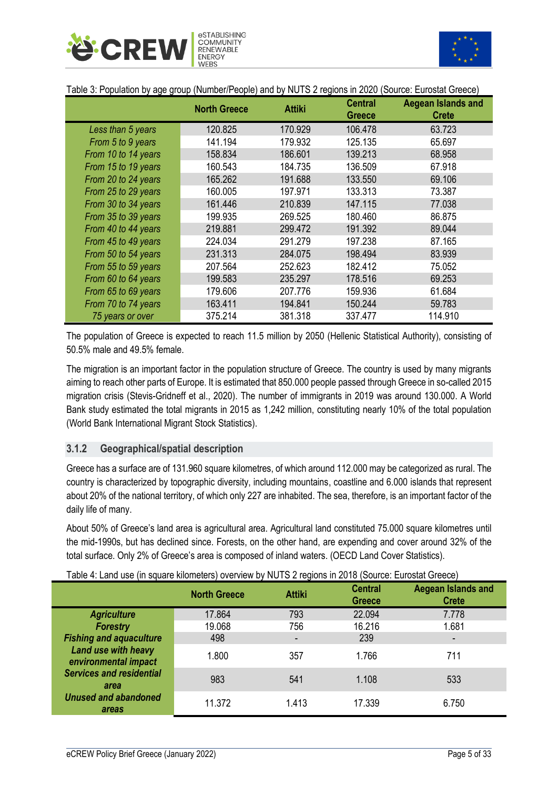<span id="page-6-1"></span>



| Table 3: Population by age group (Number/People) and by NUTS 2 regions in 2020 (Source: Eurostat Greece) |  |  |
|----------------------------------------------------------------------------------------------------------|--|--|
|----------------------------------------------------------------------------------------------------------|--|--|

|                     | <b>North Greece</b> | <b>Attiki</b> | <b>Central</b><br><b>Greece</b> | Aegean Islands and<br><b>Crete</b> |
|---------------------|---------------------|---------------|---------------------------------|------------------------------------|
| Less than 5 years   | 120.825             | 170.929       | 106.478                         | 63.723                             |
| From 5 to 9 years   | 141.194             | 179.932       | 125.135                         | 65.697                             |
| From 10 to 14 years | 158.834             | 186.601       | 139.213                         | 68.958                             |
| From 15 to 19 years | 160.543             | 184.735       | 136.509                         | 67.918                             |
| From 20 to 24 years | 165.262             | 191.688       | 133.550                         | 69.106                             |
| From 25 to 29 years | 160.005             | 197.971       | 133.313                         | 73.387                             |
| From 30 to 34 years | 161.446             | 210.839       | 147.115                         | 77.038                             |
| From 35 to 39 years | 199.935             | 269.525       | 180.460                         | 86.875                             |
| From 40 to 44 years | 219.881             | 299.472       | 191.392                         | 89.044                             |
| From 45 to 49 years | 224.034             | 291.279       | 197.238                         | 87.165                             |
| From 50 to 54 years | 231.313             | 284.075       | 198.494                         | 83.939                             |
| From 55 to 59 years | 207.564             | 252.623       | 182.412                         | 75.052                             |
| From 60 to 64 years | 199.583             | 235.297       | 178.516                         | 69.253                             |
| From 65 to 69 years | 179.606             | 207.776       | 159.936                         | 61.684                             |
| From 70 to 74 years | 163.411             | 194.841       | 150.244                         | 59.783                             |
| 75 years or over    | 375.214             | 381.318       | 337.477                         | 114.910                            |

The population of Greece is expected to reach 11.5 million by 2050 (Hellenic Statistical Authority), consisting of 50.5% male and 49.5% female.

The migration is an important factor in the population structure of Greece. The country is used by many migrants aiming to reach other parts of Europe. It is estimated that 850.000 people passed through Greece in so-called 2015 migration crisis (Stevis-Gridneff et al., 2020). The number of immigrants in 2019 was around 130.000. A World Bank study estimated the total migrants in 2015 as 1,242 million, constituting nearly 10% of the total population (World Bank International Migrant Stock Statistics).

#### <span id="page-6-0"></span>**3.1.2 Geographical/spatial description**

Greece has a surface are of 131.960 square kilometres, of which around 112.000 may be categorized as rural. The country is characterized by topographic diversity, including mountains, coastline and 6.000 islands that represent about 20% of the national territory, of which only 227 are inhabited. The sea, therefore, is an important factor of the daily life of many.

About 50% of Greece's land area is agricultural area. Agricultural land constituted 75.000 square kilometres until the mid-1990s, but has declined since. Forests, on the other hand, are expending and cover around 32% of the total surface. Only 2% of Greece's area is composed of inland waters. (OECD Land Cover Statistics).

|  |  | Table 4: Land use (in square kilometers) overview by NUTS 2 regions in 2018 (Source: Eurostat Greece) |
|--|--|-------------------------------------------------------------------------------------------------------|
|  |  |                                                                                                       |
|  |  |                                                                                                       |

|                                             | <b>North Greece</b> | <b>Attiki</b> | <b>Central</b><br><b>Greece</b> | <b>Aegean Islands and</b><br><b>Crete</b> |
|---------------------------------------------|---------------------|---------------|---------------------------------|-------------------------------------------|
| <b>Agriculture</b>                          | 17.864              | 793           | 22.094                          | 7.778                                     |
| <b>Forestry</b>                             | 19.068              | 756           | 16.216                          | 1.681                                     |
| <b>Fishing and aquaculture</b>              | 498                 |               | 239                             |                                           |
| Land use with heavy<br>environmental impact | 1.800               | 357           | 1.766                           | 711                                       |
| <b>Services and residential</b><br>area     | 983                 | 541           | 1.108                           | 533                                       |
| <b>Unused and abandoned</b><br>areas        | 11.372              | 1.413         | 17.339                          | 6.750                                     |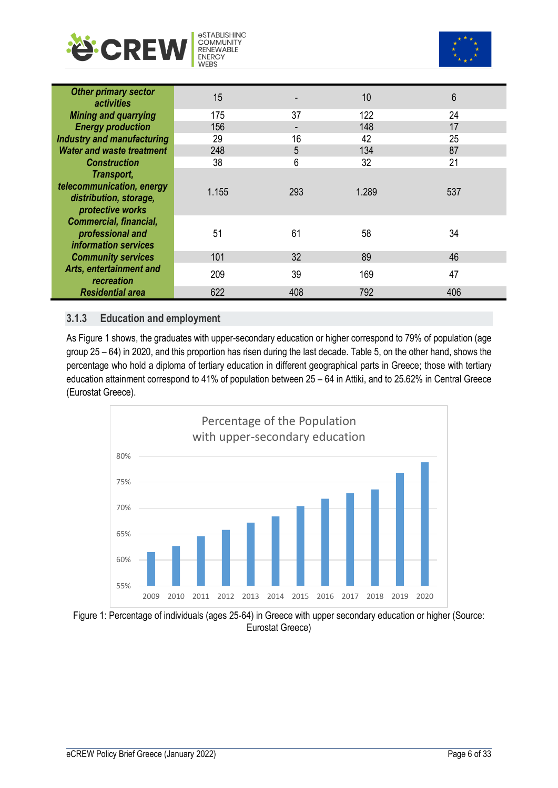<span id="page-7-1"></span>



| <b>Other primary sector</b><br><i>activities</i> | 15    |     | 10    | 6   |
|--------------------------------------------------|-------|-----|-------|-----|
| <b>Mining and quarrying</b>                      | 175   | 37  | 122   | 24  |
| <b>Energy production</b>                         | 156   |     | 148   | 17  |
| <b>Industry and manufacturing</b>                | 29    | 16  | 42    | 25  |
| <b>Water and waste treatment</b>                 | 248   | 5   | 134   | 87  |
| <b>Construction</b>                              | 38    | 6   | 32    | 21  |
| Transport,                                       |       |     |       |     |
| telecommunication, energy                        | 1.155 | 293 | 1.289 | 537 |
| distribution, storage,<br>protective works       |       |     |       |     |
| <b>Commercial, financial,</b>                    |       |     |       |     |
| professional and                                 | 51    | 61  | 58    | 34  |
| information services                             |       |     |       |     |
| <b>Community services</b>                        | 101   | 32  | 89    | 46  |
| Arts, entertainment and<br>recreation            | 209   | 39  | 169   | 47  |
| <b>Residential area</b>                          | 622   | 408 | 792   | 406 |

#### <span id="page-7-0"></span>**3.1.3 Education and employment**

As Figure 1 shows, the graduates with upper-secondary education or higher correspond to 79% of population (age group 25 – 64) in 2020, and this proportion has risen during the last decade. Table 5, on the other hand, shows the percentage who hold a diploma of tertiary education in different geographical parts in Greece; those with tertiary education attainment correspond to 41% of population between 25 – 64 in Attiki, and to 25.62% in Central Greece (Eurostat Greece).



Figure 1: Percentage of individuals (ages 25-64) in Greece with upper secondary education or higher (Source: Eurostat Greece)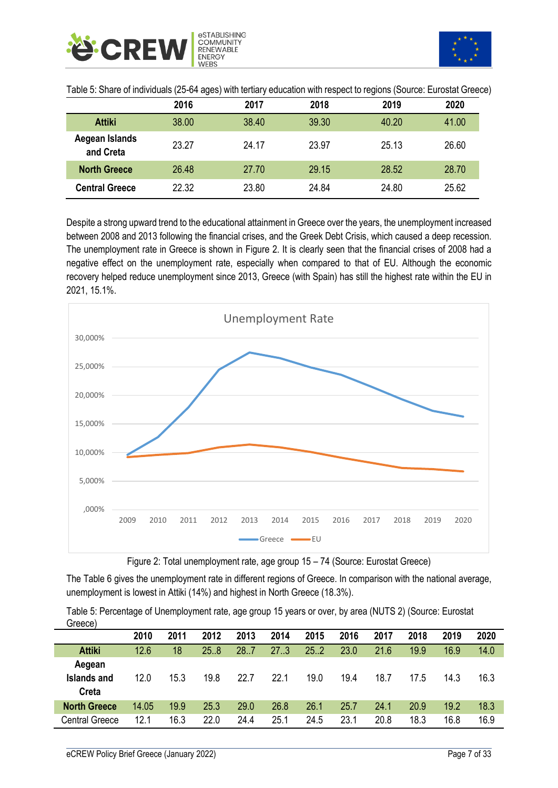<span id="page-8-0"></span>

| Table 5: Share of individuals (25-64 ages) with tertiary education with respect to regions (Source: Eurostat Greece) |  |  |  |  |
|----------------------------------------------------------------------------------------------------------------------|--|--|--|--|
|----------------------------------------------------------------------------------------------------------------------|--|--|--|--|

|                             | 2016  | 2017  | 2018  | 2019  | 2020  |
|-----------------------------|-------|-------|-------|-------|-------|
| <b>Attiki</b>               | 38.00 | 38.40 | 39.30 | 40.20 | 41.00 |
| Aegean Islands<br>and Creta | 23.27 | 24.17 | 23.97 | 25.13 | 26.60 |
| <b>North Greece</b>         | 26.48 | 27.70 | 29.15 | 28.52 | 28.70 |
| <b>Central Greece</b>       | 22.32 | 23.80 | 24.84 | 24.80 | 25.62 |

Despite a strong upward trend to the educational attainment in Greece over the years, the unemployment increased between 2008 and 2013 following the financial crises, and the Greek Debt Crisis, which caused a deep recession. The unemployment rate in Greece is shown in Figure 2. It is clearly seen that the financial crises of 2008 had a negative effect on the unemployment rate, especially when compared to that of EU. Although the economic recovery helped reduce unemployment since 2013, Greece (with Spain) has still the highest rate within the EU in 2021, 15.1%.



Figure 2: Total unemployment rate, age group 15 – 74 (Source: Eurostat Greece)

The Table 6 gives the unemployment rate in different regions of Greece. In comparison with the national average, unemployment is lowest in Attiki (14%) and highest in North Greece (18.3%).

Table 5: Percentage of Unemployment rate, age group 15 years or over, by area (NUTS 2) (Source: Eurostat Greece)

|                     | 2010  | 2011 | 2012 | 2013 | 2014 | 2015 | 2016 | 2017 | 2018 | 2019 | 2020 |
|---------------------|-------|------|------|------|------|------|------|------|------|------|------|
| <b>Attiki</b>       | 12.6  | 18   | 25.8 | 28.7 | 27.3 | 25.2 | 23.0 | 21.6 | 19.9 | 16.9 | 14.0 |
| Aegean              |       |      |      |      |      |      |      |      |      |      |      |
| Islands and         | 12.0  | 15.3 | 19.8 | 22.7 | 22.1 | 19.0 | 19.4 | 18.7 | 17.5 | 14.3 | 16.3 |
| Creta               |       |      |      |      |      |      |      |      |      |      |      |
| <b>North Greece</b> | 14.05 | 19.9 | 25.3 | 29.0 | 26.8 | 26.1 | 25.7 | 24.1 | 20.9 | 19.2 | 18.3 |
| Central Greece      | 12.1  | 16.3 | 22.0 | 24.4 | 25.1 | 24.5 | 23.1 | 20.8 | 18.3 | 16.8 | 16.9 |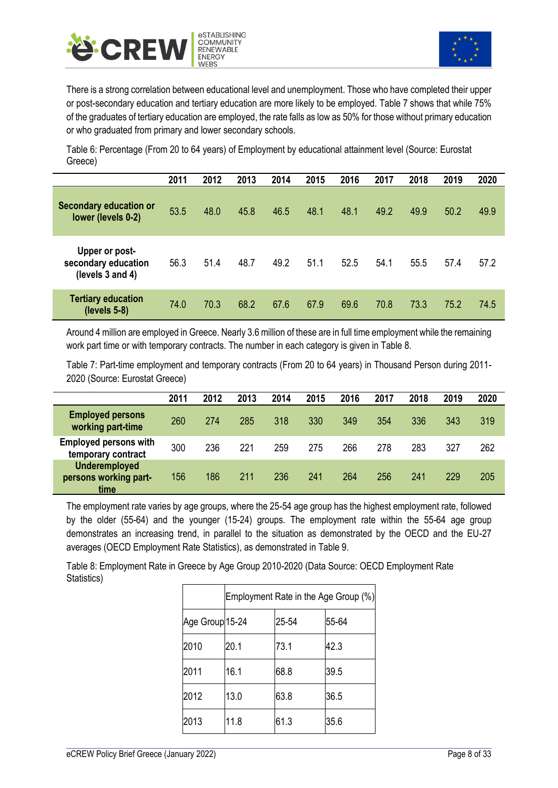<span id="page-9-0"></span>



There is a strong correlation between educational level and unemployment. Those who have completed their upper or post-secondary education and tertiary education are more likely to be employed. Table 7 shows that while 75% of the graduates of tertiary education are employed, the rate falls as low as 50% for those without primary education or who graduated from primary and lower secondary schools.

Table 6: Percentage (From 20 to 64 years) of Employment by educational attainment level (Source: Eurostat Greece)

|                                                           | 2011 | 2012 | 2013 | 2014 | 2015 | 2016 | 2017 | 2018 | 2019 | 2020 |
|-----------------------------------------------------------|------|------|------|------|------|------|------|------|------|------|
| Secondary education or<br>lower (levels 0-2)              | 53.5 | 48.0 | 45.8 | 46.5 | 48.1 | 48.1 | 49.2 | 49.9 | 50.2 | 49.9 |
| Upper or post-<br>secondary education<br>(levels 3 and 4) | 56.3 | 51.4 | 48.7 | 49.2 | 51.1 | 52.5 | 54.1 | 55.5 | 57.4 | 57.2 |
| <b>Tertiary education</b><br>$(levels 5-8)$               | 74.0 | 70.3 | 68.2 | 67.6 | 67.9 | 69.6 | 70.8 | 73.3 | 75.2 | 74.5 |

Around 4 million are employed in Greece. Nearly 3.6 million of these are in full time employment while the remaining work part time or with temporary contracts. The number in each category is given in Table 8.

Table 7: Part-time employment and temporary contracts (From 20 to 64 years) in Thousand Person during 2011- 2020 (Source: Eurostat Greece)

|                                                       | 2011 | 2012 | 2013 | 2014 | 2015 | 2016 | 2017 | 2018 | 2019 | 2020 |
|-------------------------------------------------------|------|------|------|------|------|------|------|------|------|------|
| <b>Employed persons</b><br>working part-time          | 260  | 274  | 285  | 318  | 330  | 349  | 354  | 336  | 343  | 319  |
| <b>Employed persons with</b><br>temporary contract    | 300  | 236  | 221  | 259  | 275  | 266  | 278  | 283  | 327  | 262  |
| <b>Underemployed</b><br>persons working part-<br>time | 156  | 186  | 211  | 236  | 241  | 264  | 256  | 241  | 229  | 205  |

The employment rate varies by age groups, where the 25-54 age group has the highest employment rate, followed by the older (55-64) and the younger (15-24) groups. The employment rate within the 55-64 age group demonstrates an increasing trend, in parallel to the situation as demonstrated by the OECD and the EU-27 averages (OECD Employment Rate Statistics), as demonstrated in Table 9.

Table 8: Employment Rate in Greece by Age Group 2010-2020 (Data Source: OECD Employment Rate Statistics)

|                 | Employment Rate in the Age Group (%) |       |       |  |  |
|-----------------|--------------------------------------|-------|-------|--|--|
| Age Group 15-24 |                                      | 25-54 | 55-64 |  |  |
| 2010            | 20.1                                 | 73.1  | 42.3  |  |  |
| 2011            | 16.1                                 | 68.8  | 39.5  |  |  |
| 2012            | 13.0                                 | 63.8  | 36.5  |  |  |
| 2013            | 11.8                                 | 61.3  | 35.6  |  |  |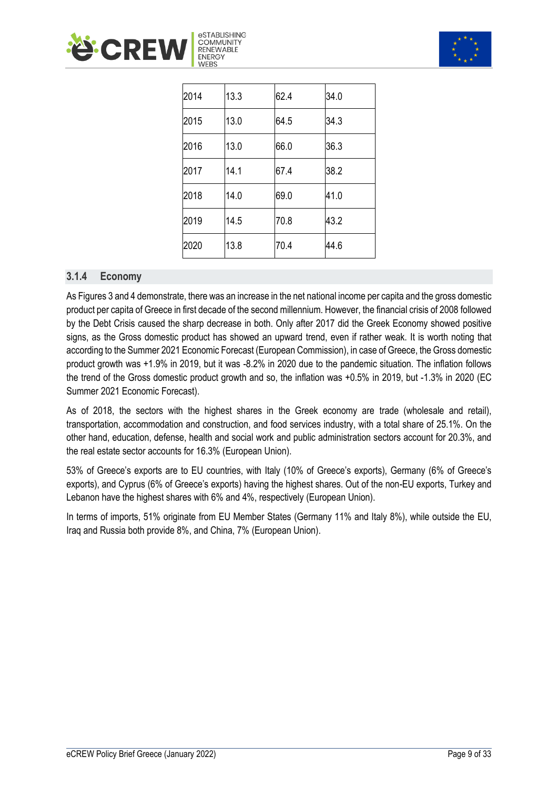<span id="page-10-1"></span>



| 2014 | 13.3 | 62.4 | 34.0 |
|------|------|------|------|
| 2015 | 13.0 | 64.5 | 34.3 |
| 2016 | 13.0 | 66.0 | 36.3 |
| 2017 | 14.1 | 67.4 | 38.2 |
| 2018 | 14.0 | 69.0 | 41.0 |
| 2019 | 14.5 | 70.8 | 43.2 |
| 2020 | 13.8 | 70.4 | 44.6 |

#### <span id="page-10-0"></span>**3.1.4 Economy**

As Figures 3 and 4 demonstrate, there was an increase in the net national income per capita and the gross domestic product per capita of Greece in first decade of the second millennium. However, the financial crisis of 2008 followed by the Debt Crisis caused the sharp decrease in both. Only after 2017 did the Greek Economy showed positive signs, as the Gross domestic product has showed an upward trend, even if rather weak. It is worth noting that according to the Summer 2021 Economic Forecast (European Commission), in case of Greece, the Gross domestic product growth was +1.9% in 2019, but it was -8.2% in 2020 due to the pandemic situation. The inflation follows the trend of the Gross domestic product growth and so, the inflation was +0.5% in 2019, but -1.3% in 2020 (EC Summer 2021 Economic Forecast).

As of 2018, the sectors with the highest shares in the Greek economy are trade (wholesale and retail), transportation, accommodation and construction, and food services industry, with a total share of 25.1%. On the other hand, education, defense, health and social work and public administration sectors account for 20.3%, and the real estate sector accounts for 16.3% (European Union).

53% of Greece's exports are to EU countries, with Italy (10% of Greece's exports), Germany (6% of Greece's exports), and Cyprus (6% of Greece's exports) having the highest shares. Out of the non-EU exports, Turkey and Lebanon have the highest shares with 6% and 4%, respectively (European Union).

In terms of imports, 51% originate from EU Member States (Germany 11% and Italy 8%), while outside the EU, Iraq and Russia both provide 8%, and China, 7% (European Union).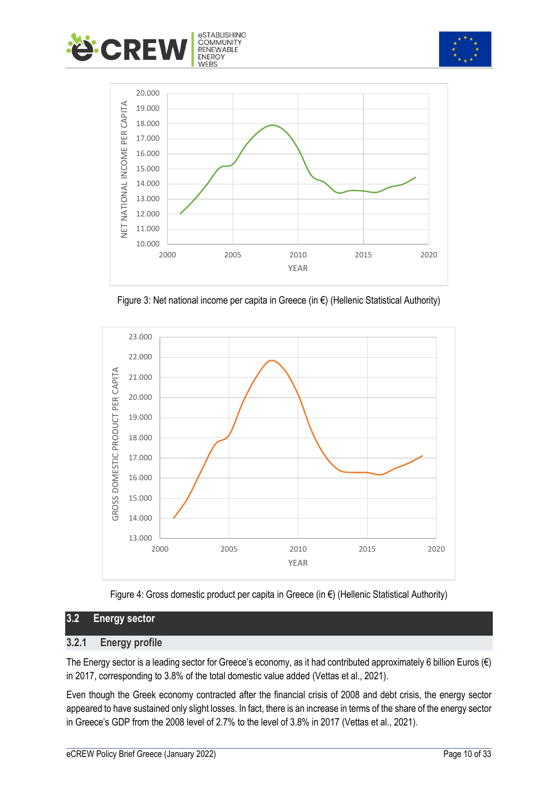





Figure 3: Net national income per capita in Greece (in €) (Hellenic Statistical Authority)



<span id="page-11-0"></span>

#### **3.2 Energy sector**

#### <span id="page-11-1"></span>**3.2.1 Energy profile**

The Energy sector is a leading sector for Greece's economy, as it had contributed approximately 6 billion Euros (€) in 2017, corresponding to 3.8% of the total domestic value added (Vettas et al., 2021).

Even though the Greek economy contracted after the financial crisis of 2008 and debt crisis, the energy sector appeared to have sustained only slight losses. In fact, there is an increase in terms of the share of the energy sector in Greece's GDP from the 2008 level of 2.7% to the level of 3.8% in 2017 (Vettas et al., 2021).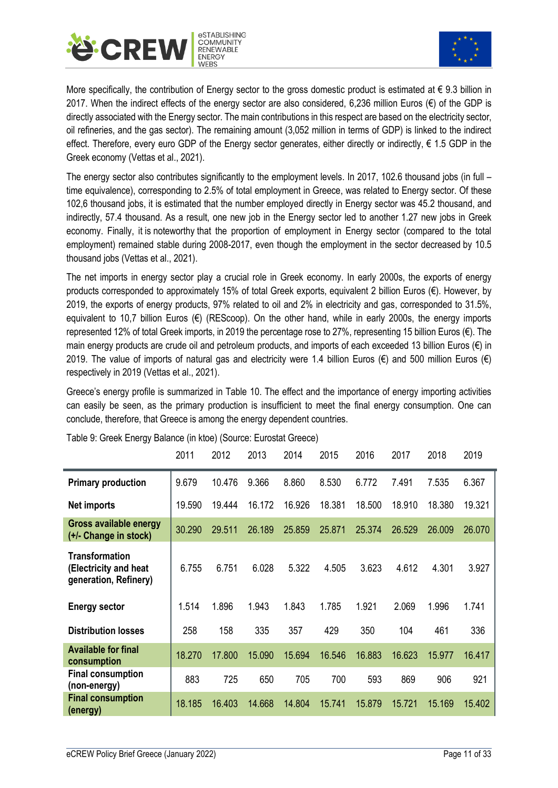



More specifically, the contribution of Energy sector to the gross domestic product is estimated at  $\epsilon$  9.3 billion in 2017. When the indirect effects of the energy sector are also considered, 6,236 million Euros ( $\epsilon$ ) of the GDP is directly associated with the Energy sector. The main contributions in this respect are based on the electricity sector, oil refineries, and the gas sector). The remaining amount (3,052 million in terms of GDP) is linked to the indirect effect. Therefore, every euro GDP of the Energy sector generates, either directly or indirectly,  $\epsilon$  1.5 GDP in the Greek economy (Vettas et al., 2021).

The energy sector also contributes significantly to the employment levels. In 2017, 102.6 thousand jobs (in full – time equivalence), corresponding to 2.5% of total employment in Greece, was related to Energy sector. Of these 102,6 thousand jobs, it is estimated that the number employed directly in Energy sector was 45.2 thousand, and indirectly, 57.4 thousand. As a result, one new job in the Energy sector led to another 1.27 new jobs in Greek economy. Finally, it is noteworthy that the proportion of employment in Energy sector (compared to the total employment) remained stable during 2008-2017, even though the employment in the sector decreased by 10.5 thousand jobs (Vettas et al., 2021).

The net imports in energy sector play a crucial role in Greek economy. In early 2000s, the exports of energy products corresponded to approximately 15% of total Greek exports, equivalent 2 billion Euros (€). However, by 2019, the exports of energy products, 97% related to oil and 2% in electricity and gas, corresponded to 31.5%, equivalent to 10,7 billion Euros (€) (REScoop). On the other hand, while in early 2000s, the energy imports represented 12% of total Greek imports, in 2019 the percentage rose to 27%, representing 15 billion Euros (€). The main energy products are crude oil and petroleum products, and imports of each exceeded 13 billion Euros (€) in 2019. The value of imports of natural gas and electricity were 1.4 billion Euros (€) and 500 million Euros (€) respectively in 2019 (Vettas et al., 2021).

Greece's energy profile is summarized in Table 10. The effect and the importance of energy importing activities can easily be seen, as the primary production is insufficient to meet the final energy consumption. One can conclude, therefore, that Greece is among the energy dependent countries.

|                                                                  | 2011   | 2012   | 2013   | 2014   | 2015   | 2016   | 2017   | 2018   | 2019   |
|------------------------------------------------------------------|--------|--------|--------|--------|--------|--------|--------|--------|--------|
| <b>Primary production</b>                                        | 9.679  | 10.476 | 9.366  | 8.860  | 8.530  | 6.772  | 7.491  | 7.535  | 6.367  |
| Net imports                                                      | 19.590 | 19.444 | 16.172 | 16.926 | 18.381 | 18.500 | 18.910 | 18.380 | 19.321 |
| <b>Gross available energy</b><br>(+/- Change in stock)           | 30.290 | 29.511 | 26.189 | 25.859 | 25.871 | 25.374 | 26.529 | 26,009 | 26.070 |
| Transformation<br>(Electricity and heat<br>generation, Refinery) | 6.755  | 6.751  | 6.028  | 5.322  | 4.505  | 3.623  | 4.612  | 4.301  | 3.927  |
| <b>Energy sector</b>                                             | 1.514  | 1.896  | 1.943  | 1.843  | 1.785  | 1.921  | 2.069  | 1.996  | 1.741  |
| <b>Distribution losses</b>                                       | 258    | 158    | 335    | 357    | 429    | 350    | 104    | 461    | 336    |
| <b>Available for final</b><br>consumption                        | 18.270 | 17.800 | 15.090 | 15.694 | 16.546 | 16.883 | 16.623 | 15.977 | 16.417 |
| <b>Final consumption</b><br>(non-energy)                         | 883    | 725    | 650    | 705    | 700    | 593    | 869    | 906    | 921    |
| <b>Final consumption</b><br>(energy)                             | 18.185 | 16.403 | 14.668 | 14.804 | 15.741 | 15.879 | 15.721 | 15.169 | 15.402 |

Table 9: Greek Energy Balance (in ktoe) (Source: Eurostat Greece)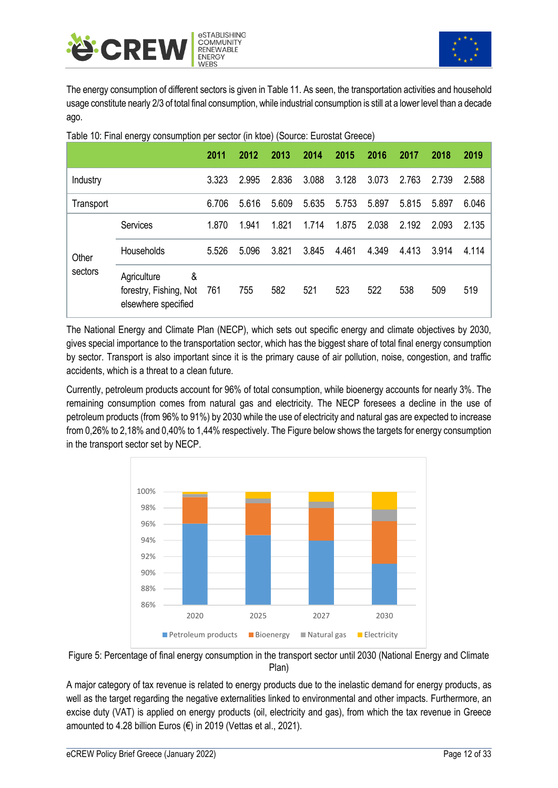<span id="page-13-0"></span>



The energy consumption of different sectors is given in Table 11. As seen, the transportation activities and household usage constitute nearly 2/3 of total final consumption, while industrial consumption is still at a lower level than a decade ago.

|           |                                                                   | 2011  | 2012  | 2013  | 2014  | 2015  | 2016  | 2017  | 2018  | 2019  |
|-----------|-------------------------------------------------------------------|-------|-------|-------|-------|-------|-------|-------|-------|-------|
| Industry  |                                                                   | 3.323 | 2.995 | 2.836 | 3.088 | 3.128 | 3.073 | 2.763 | 2.739 | 2.588 |
| Transport |                                                                   | 6.706 | 5.616 | 5.609 | 5.635 | 5.753 | 5.897 | 5.815 | 5.897 | 6.046 |
|           | Services                                                          | 1.870 | 1.941 | 1.821 | 1.714 | 1.875 | 2.038 | 2.192 | 2.093 | 2.135 |
| Other     | Households                                                        | 5.526 | 5.096 | 3.821 | 3.845 | 4.461 | 4.349 | 4.413 | 3.914 | 4.114 |
| sectors   | &<br>Agriculture<br>forestry, Fishing, Not<br>elsewhere specified | 761   | 755   | 582   | 521   | 523   | 522   | 538   | 509   | 519   |

Table 10: Final energy consumption per sector (in ktoe) (Source: Eurostat Greece)

The National Energy and Climate Plan (NECP), which sets out specific energy and climate objectives by 2030, gives special importance to the transportation sector, which has the biggest share of total final energy consumption by sector. Transport is also important since it is the primary cause of air pollution, noise, congestion, and traffic accidents, which is a threat to a clean future.

Currently, petroleum products account for 96% of total consumption, while bioenergy accounts for nearly 3%. The remaining consumption comes from natural gas and electricity. The NECP foresees a decline in the use of petroleum products (from 96% to 91%) by 2030 while the use of electricity and natural gas are expected to increase from 0,26% to 2,18% and 0,40% to 1,44% respectively. The Figure below shows the targets for energy consumption in the transport sector set by NECP.





A major category of tax revenue is related to energy products due to the inelastic demand for energy products, as well as the target regarding the negative externalities linked to environmental and other impacts. Furthermore, an excise duty (VAT) is applied on energy products (oil, electricity and gas), from which the tax revenue in Greece amounted to 4.28 billion Euros (€) in 2019 (Vettas et al., 2021).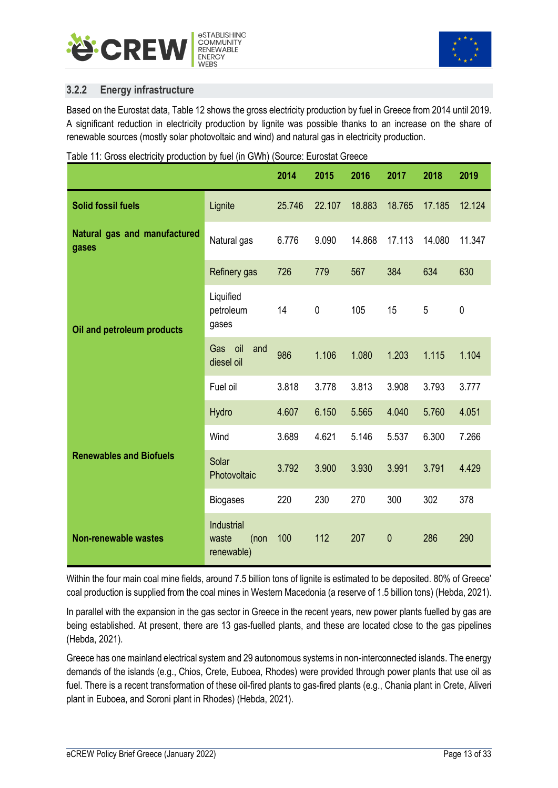<span id="page-14-1"></span>



#### <span id="page-14-0"></span>**3.2.2 Energy infrastructure**

Based on the Eurostat data, Table 12 shows the gross electricity production by fuel in Greece from 2014 until 2019. A significant reduction in electricity production by lignite was possible thanks to an increase on the share of renewable sources (mostly solar photovoltaic and wind) and natural gas in electricity production.

|  |  | Table 11: Gross electricity production by fuel (in GWh) (Source: Eurostat Greece |
|--|--|----------------------------------------------------------------------------------|
|  |  |                                                                                  |

|                                       |                                           | 2014   | 2015   | 2016   | 2017      | 2018   | 2019        |
|---------------------------------------|-------------------------------------------|--------|--------|--------|-----------|--------|-------------|
| <b>Solid fossil fuels</b>             | Lignite                                   | 25.746 | 22.107 | 18.883 | 18.765    | 17.185 | 12.124      |
| Natural gas and manufactured<br>gases | Natural gas                               | 6.776  | 9.090  | 14.868 | 17.113    | 14.080 | 11.347      |
|                                       | Refinery gas                              | 726    | 779    | 567    | 384       | 634    | 630         |
| Oil and petroleum products            | Liquified<br>petroleum<br>gases           | 14     | 0      | 105    | 15        | 5      | $\mathbf 0$ |
|                                       | oil<br>Gas<br>and<br>diesel oil           | 986    | 1.106  | 1.080  | 1.203     | 1.115  | 1.104       |
|                                       | Fuel oil                                  | 3.818  | 3.778  | 3.813  | 3.908     | 3.793  | 3.777       |
|                                       | Hydro                                     | 4.607  | 6.150  | 5.565  | 4.040     | 5.760  | 4.051       |
|                                       | Wind                                      | 3.689  | 4.621  | 5.146  | 5.537     | 6.300  | 7.266       |
| <b>Renewables and Biofuels</b>        | Solar<br>Photovoltaic                     | 3.792  | 3.900  | 3.930  | 3.991     | 3.791  | 4.429       |
|                                       | <b>Biogases</b>                           | 220    | 230    | 270    | 300       | 302    | 378         |
| <b>Non-renewable wastes</b>           | Industrial<br>(non<br>waste<br>renewable) | 100    | 112    | 207    | $\pmb{0}$ | 286    | 290         |

Within the four main coal mine fields, around 7.5 billion tons of lignite is estimated to be deposited. 80% of Greece' coal production is supplied from the coal mines in Western Macedonia (a reserve of 1.5 billion tons) (Hebda, 2021).

In parallel with the expansion in the gas sector in Greece in the recent years, new power plants fuelled by gas are being established. At present, there are 13 gas-fuelled plants, and these are located close to the gas pipelines (Hebda, 2021).

Greece has one mainland electrical system and 29 autonomous systems in non-interconnected islands. The energy demands of the islands (e.g., Chios, Crete, Euboea, Rhodes) were provided through power plants that use oil as fuel. There is a recent transformation of these oil-fired plants to gas-fired plants (e.g., Chania plant in Crete, Aliveri plant in Euboea, and Soroni plant in Rhodes) (Hebda, 2021).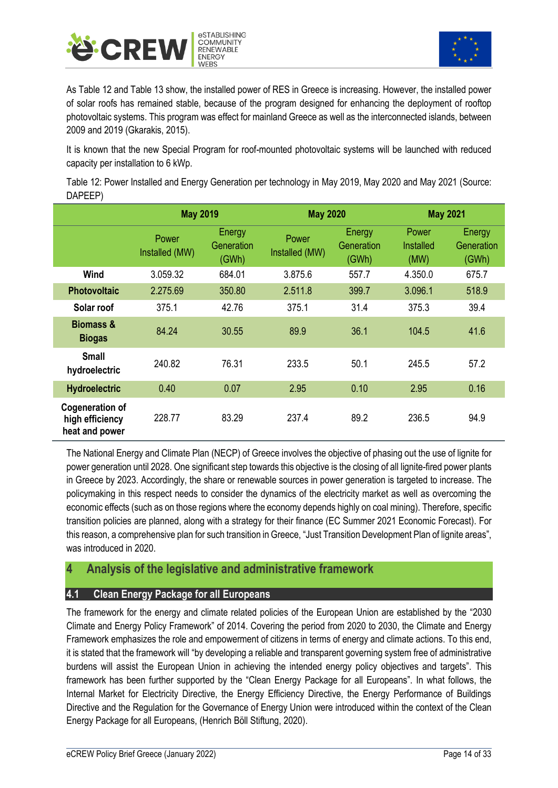<span id="page-15-2"></span>



As Table 12 and Table 13 show, the installed power of RES in Greece is increasing. However, the installed power of solar roofs has remained stable, because of the program designed for enhancing the deployment of rooftop photovoltaic systems. This program was effect for mainland Greece as well as the interconnected islands, between 2009 and 2019 (Gkarakis, 2015).

It is known that the new Special Program for roof-mounted photovoltaic systems will be launched with reduced capacity per installation to 6 kWp.

Table 12: Power Installed and Energy Generation per technology in May 2019, May 2020 and May 2021 (Source: DAPEEP)

|                                                             | <b>May 2019</b>         |                               | <b>May 2020</b>         |                               | <b>May 2021</b>            |                               |  |
|-------------------------------------------------------------|-------------------------|-------------------------------|-------------------------|-------------------------------|----------------------------|-------------------------------|--|
|                                                             | Power<br>Installed (MW) | Energy<br>Generation<br>(GWh) | Power<br>Installed (MW) | Energy<br>Generation<br>(GWh) | Power<br>Installed<br>(MW) | Energy<br>Generation<br>(GWh) |  |
| Wind                                                        | 3.059.32                | 684.01                        | 3.875.6                 | 557.7                         | 4.350.0                    | 675.7                         |  |
| <b>Photovoltaic</b>                                         | 2.275.69                | 350.80                        | 2.511.8                 | 399.7                         | 3.096.1                    | 518.9                         |  |
| Solar roof                                                  | 375.1                   | 42.76                         | 375.1                   | 31.4                          | 375.3                      | 39.4                          |  |
| <b>Biomass &amp;</b><br><b>Biogas</b>                       | 84.24                   | 30.55                         | 89.9                    | 36.1                          | 104.5                      | 41.6                          |  |
| <b>Small</b><br>hydroelectric                               | 240.82                  | 76.31                         | 233.5                   | 50.1                          | 245.5                      | 57.2                          |  |
| <b>Hydroelectric</b>                                        | 0.40                    | 0.07                          | 2.95                    | 0.10                          | 2.95                       | 0.16                          |  |
| <b>Cogeneration of</b><br>high efficiency<br>heat and power | 228.77                  | 83.29                         | 237.4                   | 89.2                          | 236.5                      | 94.9                          |  |

The National Energy and Climate Plan (NECP) of Greece involves the objective of phasing out the use of lignite for power generation until 2028. One significant step towards this objective is the closing of all lignite-fired power plants in Greece by 2023. Accordingly, the share or renewable sources in power generation is targeted to increase. The policymaking in this respect needs to consider the dynamics of the electricity market as well as overcoming the economic effects (such as on those regions where the economy depends highly on coal mining). Therefore, specific transition policies are planned, along with a strategy for their finance (EC Summer 2021 Economic Forecast). For this reason, a comprehensive plan for such transition in Greece, "Just Transition Development Plan of lignite areas", was introduced in 2020.

## <span id="page-15-0"></span>**4 Analysis of the legislative and administrative framework**

#### <span id="page-15-1"></span>**4.1 Clean Energy Package for all Europeans**

The framework for the energy and climate related policies of the European Union are established by the "2030 Climate and Energy Policy Framework" of 2014. Covering the period from 2020 to 2030, the Climate and Energy Framework emphasizes the role and empowerment of citizens in terms of energy and climate actions. To this end, it is stated that the framework will "by developing a reliable and transparent governing system free of administrative burdens will assist the European Union in achieving the intended energy policy objectives and targets". This framework has been further supported by the "Clean Energy Package for all Europeans". In what follows, the Internal Market for Electricity Directive, the Energy Efficiency Directive, the Energy Performance of Buildings Directive and the Regulation for the Governance of Energy Union were introduced within the context of the Clean Energy Package for all Europeans, (Henrich Böll Stiftung, 2020).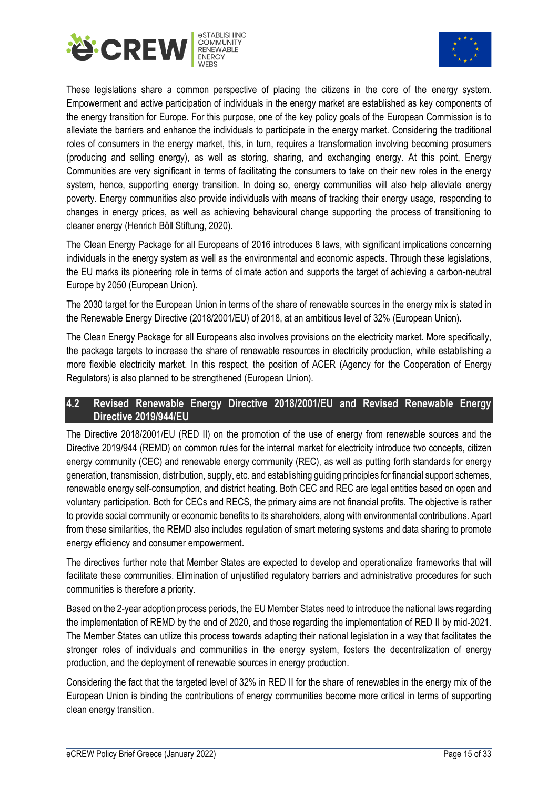



These legislations share a common perspective of placing the citizens in the core of the energy system. Empowerment and active participation of individuals in the energy market are established as key components of the energy transition for Europe. For this purpose, one of the key policy goals of the European Commission is to alleviate the barriers and enhance the individuals to participate in the energy market. Considering the traditional roles of consumers in the energy market, this, in turn, requires a transformation involving becoming prosumers (producing and selling energy), as well as storing, sharing, and exchanging energy. At this point, Energy Communities are very significant in terms of facilitating the consumers to take on their new roles in the energy system, hence, supporting energy transition. In doing so, energy communities will also help alleviate energy poverty. Energy communities also provide individuals with means of tracking their energy usage, responding to changes in energy prices, as well as achieving behavioural change supporting the process of transitioning to cleaner energy (Henrich Böll Stiftung, 2020).

The Clean Energy Package for all Europeans of 2016 introduces 8 laws, with significant implications concerning individuals in the energy system as well as the environmental and economic aspects. Through these legislations, the EU marks its pioneering role in terms of climate action and supports the target of achieving a carbon-neutral Europe by 2050 (European Union).

The 2030 target for the European Union in terms of the share of renewable sources in the energy mix is stated in the [Renewable Energy Directive](https://ec.europa.eu/energy/topics/renewable-energy/renewable-energy-directive/overview_en) (2018/2001/EU) of 2018, at an ambitious level of 32% (European Union).

The Clean Energy Package for all Europeans also involves provisions on the electricity market. More specifically, the package targets to increase the share of renewable resources in electricity production, while establishing a more flexible electricity market. In this respect, the position of ACER (Agency for the Cooperation of Energy Regulators) is also planned to be strengthened (European Union).

#### <span id="page-16-0"></span>**4.2 Revised Renewable Energy Directive 2018/2001/EU and Revised Renewable Energy Directive 2019/944/EU**

The Directive 2018/2001/EU (RED II) on the promotion of the use of energy from renewable sources and the Directive 2019/944 (REMD) on common rules for the internal market for electricity introduce two concepts, citizen energy community (CEC) and renewable energy community (REC), as well as putting forth standards for energy generation, transmission, distribution, supply, etc. and establishing guiding principles for financial support schemes, renewable energy self-consumption, and district heating. Both CEC and REC are legal entities based on open and voluntary participation. Both for CECs and RECS, the primary aims are not financial profits. The objective is rather to provide social community or economic benefits to its shareholders, along with environmental contributions. Apart from these similarities, the REMD also includes regulation of smart metering systems and data sharing to promote energy efficiency and consumer empowerment.

The directives further note that Member States are expected to develop and operationalize frameworks that will facilitate these communities. Elimination of unjustified regulatory barriers and administrative procedures for such communities is therefore a priority.

Based on the 2-year adoption process periods, the EU Member States need to introduce the national laws regarding the implementation of REMD by the end of 2020, and those regarding the implementation of RED II by mid-2021. The Member States can utilize this process towards adapting their national legislation in a way that facilitates the stronger roles of individuals and communities in the energy system, fosters the decentralization of energy production, and the deployment of renewable sources in energy production.

Considering the fact that the targeted level of 32% in RED II for the share of renewables in the energy mix of the European Union is binding the contributions of energy communities become more critical in terms of supporting clean energy transition.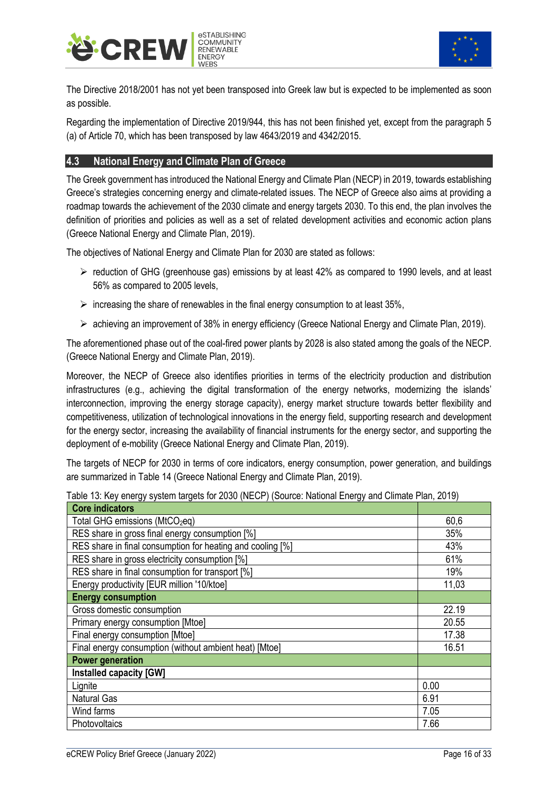



The Directive 2018/2001 has not yet been transposed into Greek law but is expected to be implemented as soon as possible.

Regarding the implementation of Directive 2019/944, this has not been finished yet, except from the paragraph 5 (a) of Article 70, which has been transposed by law 4643/2019 and 4342/2015.

#### <span id="page-17-0"></span>**4.3 National Energy and Climate Plan of Greece**

The Greek government has introduced the National Energy and Climate Plan (NECP) in 2019, towards establishing Greece's strategies concerning energy and climate-related issues. The NECP of Greece also aims at providing a roadmap towards the achievement of the 2030 climate and energy targets 2030. To this end, the plan involves the definition of priorities and policies as well as a set of related development activities and economic action plans (Greece National Energy and Climate Plan, 2019).

The objectives of National Energy and Climate Plan for 2030 are stated as follows:

- ➢ reduction of GHG (greenhouse gas) emissions by at least 42% as compared to 1990 levels, and at least 56% as compared to 2005 levels,
- $\triangleright$  increasing the share of renewables in the final energy consumption to at least 35%,
- $\triangleright$  achieving an improvement of 38% in energy efficiency (Greece National Energy and Climate Plan, 2019).

The aforementioned phase out of the coal-fired power plants by 2028 is also stated among the goals of the NECP. (Greece National Energy and Climate Plan, 2019).

Moreover, the NECP of Greece also identifies priorities in terms of the electricity production and distribution infrastructures (e.g., achieving the digital transformation of the energy networks, modernizing the islands' interconnection, improving the energy storage capacity), energy market structure towards better flexibility and competitiveness, utilization of technological innovations in the energy field, supporting research and development for the energy sector, increasing the availability of financial instruments for the energy sector, and supporting the deployment of e-mobility (Greece National Energy and Climate Plan, 2019).

The targets of NECP for 2030 in terms of core indicators, energy consumption, power generation, and buildings are summarized in Table 14 (Greece National Energy and Climate Plan, 2019).

| <b>Core indicators</b>                                     |       |
|------------------------------------------------------------|-------|
| Total GHG emissions (MtCO <sub>2</sub> eq)                 | 60,6  |
| RES share in gross final energy consumption [%]            | 35%   |
| RES share in final consumption for heating and cooling [%] | 43%   |
| RES share in gross electricity consumption [%]             | 61%   |
| RES share in final consumption for transport [%]           | 19%   |
| Energy productivity [EUR million '10/ktoe]                 | 11,03 |
| <b>Energy consumption</b>                                  |       |
| Gross domestic consumption                                 | 22.19 |
| Primary energy consumption [Mtoe]                          | 20.55 |
| Final energy consumption [Mtoe]                            | 17.38 |
| Final energy consumption (without ambient heat) [Mtoe]     | 16.51 |
| <b>Power generation</b>                                    |       |
| Installed capacity [GW]                                    |       |
| Lignite                                                    | 0.00  |
| <b>Natural Gas</b>                                         | 6.91  |
| Wind farms                                                 | 7.05  |
| Photovoltaics                                              | 7.66  |

Table 13: Key energy system targets for 2030 (NECP) (Source: National Energy and Climate Plan, 2019)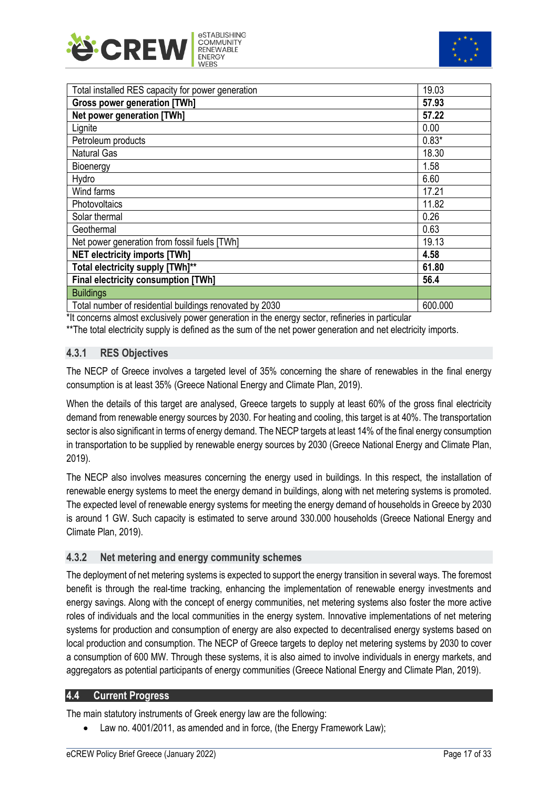<span id="page-18-3"></span>



| Total installed RES capacity for power generation       | 19.03   |
|---------------------------------------------------------|---------|
| <b>Gross power generation [TWh]</b>                     | 57.93   |
| Net power generation [TWh]                              | 57.22   |
| Lignite                                                 | 0.00    |
| Petroleum products                                      | $0.83*$ |
| <b>Natural Gas</b>                                      | 18.30   |
| Bioenergy                                               | 1.58    |
| Hydro                                                   | 6.60    |
| Wind farms                                              | 17.21   |
| Photovoltaics                                           | 11.82   |
| Solar thermal                                           | 0.26    |
| Geothermal                                              | 0.63    |
| Net power generation from fossil fuels [TWh]            | 19.13   |
| <b>NET electricity imports [TWh]</b>                    | 4.58    |
| Total electricity supply [TWh]**                        | 61.80   |
| <b>Final electricity consumption [TWh]</b>              | 56.4    |
| <b>Buildings</b>                                        |         |
| Total number of residential buildings renovated by 2030 | 600.000 |

\*It concerns almost exclusively power generation in the energy sector, refineries in particular

<span id="page-18-0"></span>\*\*The total electricity supply is defined as the sum of the net power generation and net electricity imports.

#### **4.3.1 RES Objectives**

The NECP of Greece involves a targeted level of 35% concerning the share of renewables in the final energy consumption is at least 35% (Greece National Energy and Climate Plan, 2019).

When the details of this target are analysed, Greece targets to supply at least 60% of the gross final electricity demand from renewable energy sources by 2030. For heating and cooling, this target is at 40%. The transportation sector is also significant in terms of energy demand. The NECP targets at least 14% of the final energy consumption in transportation to be supplied by renewable energy sources by 2030 (Greece National Energy and Climate Plan, 2019).

The NECP also involves measures concerning the energy used in buildings. In this respect, the installation of renewable energy systems to meet the energy demand in buildings, along with net metering systems is promoted. The expected level of renewable energy systems for meeting the energy demand of households in Greece by 2030 is around 1 GW. Such capacity is estimated to serve around 330.000 households (Greece National Energy and Climate Plan, 2019).

#### <span id="page-18-1"></span>**4.3.2 Net metering and energy community schemes**

The deployment of net metering systems is expected to support the energy transition in several ways. The foremost benefit is through the real-time tracking, enhancing the implementation of renewable energy investments and energy savings. Along with the concept of energy communities, net metering systems also foster the more active roles of individuals and the local communities in the energy system. Innovative implementations of net metering systems for production and consumption of energy are also expected to decentralised energy systems based on local production and consumption. The NECP of Greece targets to deploy net metering systems by 2030 to cover a consumption of 600 MW. Through these systems, it is also aimed to involve individuals in energy markets, and aggregators as potential participants of energy communities (Greece National Energy and Climate Plan, 2019).

#### <span id="page-18-2"></span>**4.4 Current Progress**

The main statutory instruments of Greek energy law are the following:

• Law no. 4001/2011, as amended and in force, (the Energy Framework Law);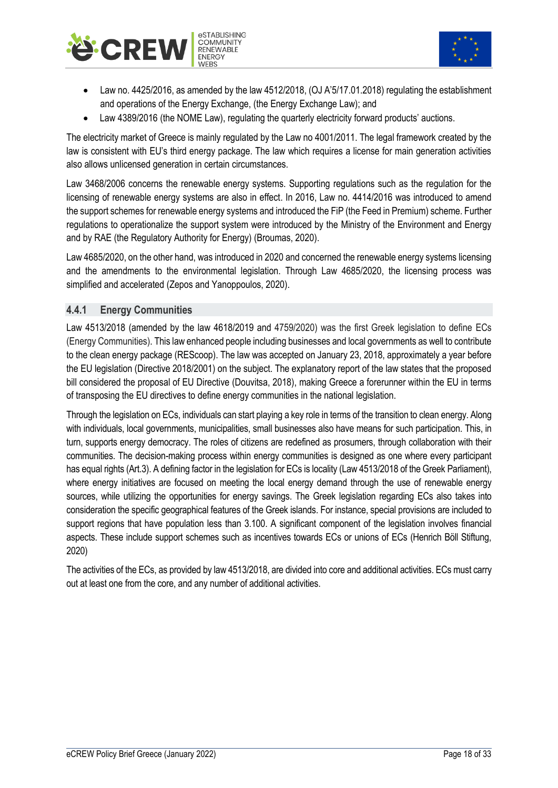



- Law no. 4425/2016, as amended by the law 4512/2018, (OJ A'5/17.01.2018) regulating the establishment and operations of the Energy Exchange, (the Energy Exchange Law); and
- Law 4389/2016 (the NOME Law), regulating the quarterly electricity forward products' auctions.

The electricity market of Greece is mainly regulated by the Law no 4001/2011. The legal framework created by the law is consistent with EU's third energy package. The law which requires a license for main generation activities also allows unlicensed generation in certain circumstances.

Law 3468/2006 concerns the renewable energy systems. Supporting regulations such as the regulation for the licensing of renewable energy systems are also in effect. In 2016, Law no. 4414/2016 was introduced to amend the support schemes for renewable energy systems and introduced the FiP (the Feed in Premium) scheme. Further regulations to operationalize the support system were introduced by the Ministry of the Environment and Energy and by RAE (the Regulatory Authority for Energy) (Broumas, 2020).

Law 4685/2020, on the other hand, was introduced in 2020 and concerned the renewable energy systems licensing and the amendments to the environmental legislation. Through Law 4685/2020, the licensing process was simplified and accelerated (Zepos and Yanoppoulos, 2020).

#### <span id="page-19-0"></span>**4.4.1 Energy Communities**

Law 4513/2018 (amended by the law 4618/2019 and 4759/2020) was the first Greek legislation to define ECs (Energy Communities). This law enhanced people including businesses and local governments as well to contribute to the clean energy package (REScoop). The law was accepted on January 23, 2018, approximately a year before the EU legislation (Directive 2018/2001) on the subject. The explanatory report of the law states that the proposed bill considered the proposal of EU Directive (Douvitsa, 2018), making Greece a forerunner within the EU in terms of transposing the EU directives to define energy communities in the national legislation.

Through the legislation on ECs, individuals can start playing a key role in terms of the transition to clean energy. Along with individuals, local governments, municipalities, small businesses also have means for such participation. This, in turn, supports energy democracy. The roles of citizens are redefined as prosumers, through collaboration with their communities. The decision-making process within energy communities is designed as one where every participant has equal rights (Art.3). A defining factor in the legislation for ECs is locality (Law 4513/2018 of the Greek Parliament), where energy initiatives are focused on meeting the local energy demand through the use of renewable energy sources, while utilizing the opportunities for energy savings. The Greek legislation regarding ECs also takes into consideration the specific geographical features of the Greek islands. For instance, special provisions are included to support regions that have population less than 3.100. A significant component of the legislation involves financial aspects. These include support schemes such as incentives towards ECs or unions of ECs (Henrich Böll Stiftung, 2020)

The activities of the ECs, as provided by law 4513/2018, are divided into core and additional activities. ECs must carry out at least one from the core, and any number of additional activities.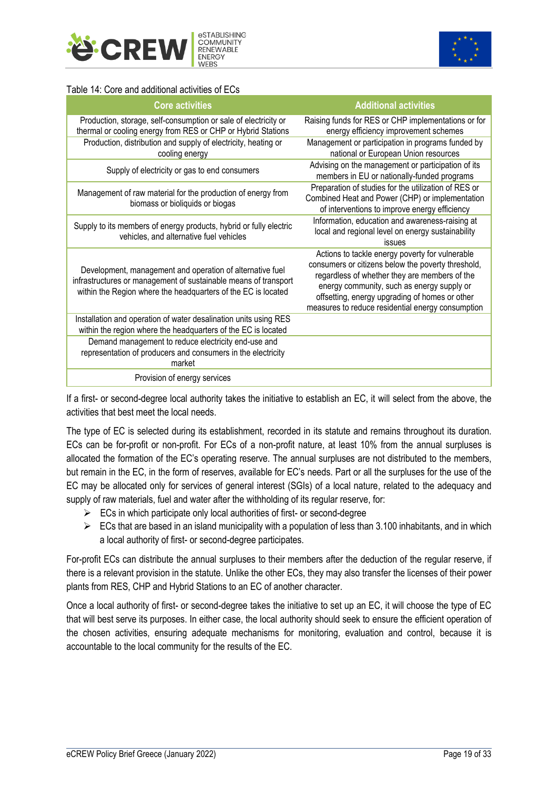<span id="page-20-0"></span>



#### Table 14: Core and additional activities of ECs

| <b>Core activities</b>                                                                                                                                                                        | <b>Additional activities</b>                                                                                                                                                                                                                                                                                |
|-----------------------------------------------------------------------------------------------------------------------------------------------------------------------------------------------|-------------------------------------------------------------------------------------------------------------------------------------------------------------------------------------------------------------------------------------------------------------------------------------------------------------|
| Production, storage, self-consumption or sale of electricity or<br>thermal or cooling energy from RES or CHP or Hybrid Stations                                                               | Raising funds for RES or CHP implementations or for<br>energy efficiency improvement schemes                                                                                                                                                                                                                |
| Production, distribution and supply of electricity, heating or<br>cooling energy                                                                                                              | Management or participation in programs funded by<br>national or European Union resources                                                                                                                                                                                                                   |
| Supply of electricity or gas to end consumers                                                                                                                                                 | Advising on the management or participation of its<br>members in EU or nationally-funded programs                                                                                                                                                                                                           |
| Management of raw material for the production of energy from<br>biomass or bioliquids or biogas                                                                                               | Preparation of studies for the utilization of RES or<br>Combined Heat and Power (CHP) or implementation<br>of interventions to improve energy efficiency                                                                                                                                                    |
| Supply to its members of energy products, hybrid or fully electric<br>vehicles, and alternative fuel vehicles                                                                                 | Information, education and awareness-raising at<br>local and regional level on energy sustainability<br>issues                                                                                                                                                                                              |
| Development, management and operation of alternative fuel<br>infrastructures or management of sustainable means of transport<br>within the Region where the headquarters of the EC is located | Actions to tackle energy poverty for vulnerable<br>consumers or citizens below the poverty threshold,<br>regardless of whether they are members of the<br>energy community, such as energy supply or<br>offsetting, energy upgrading of homes or other<br>measures to reduce residential energy consumption |
| Installation and operation of water desalination units using RES<br>within the region where the headquarters of the EC is located                                                             |                                                                                                                                                                                                                                                                                                             |
| Demand management to reduce electricity end-use and<br>representation of producers and consumers in the electricity<br>market                                                                 |                                                                                                                                                                                                                                                                                                             |
| Provision of energy services                                                                                                                                                                  |                                                                                                                                                                                                                                                                                                             |

If a first- or second-degree local authority takes the initiative to establish an EC, it will select from the above, the activities that best meet the local needs.

The type of EC is selected during its establishment, recorded in its statute and remains throughout its duration. ECs can be for-profit or non-profit. For ECs of a non-profit nature, at least 10% from the annual surpluses is allocated the formation of the EC's operating reserve. The annual surpluses are not distributed to the members, but remain in the EC, in the form of reserves, available for EC's needs. Part or all the surpluses for the use of the EC may be allocated only for services of general interest (SGIs) of a local nature, related to the adequacy and supply of raw materials, fuel and water after the withholding of its regular reserve, for:

- $\triangleright$  ECs in which participate only local authorities of first- or second-degree
- $\triangleright$  ECs that are based in an island municipality with a population of less than 3.100 inhabitants, and in which a local authority of first- or second-degree participates.

For-profit ECs can distribute the annual surpluses to their members after the deduction of the regular reserve, if there is a relevant provision in the statute. Unlike the other ECs, they may also transfer the licenses of their power plants from RES, CHP and Hybrid Stations to an EC of another character.

Once a local authority of first- or second-degree takes the initiative to set up an EC, it will choose the type of EC that will best serve its purposes. In either case, the local authority should seek to ensure the efficient operation of the chosen activities, ensuring adequate mechanisms for monitoring, evaluation and control, because it is accountable to the local community for the results of the EC.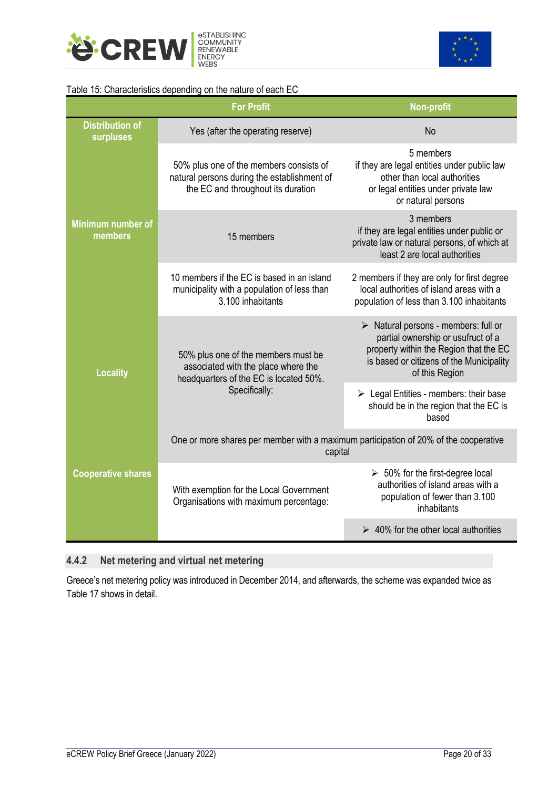<span id="page-21-1"></span>



#### Table 15: Characteristics depending on the nature of each EC

|                                     | <b>For Profit</b>                                                                                                            | <b>Non-profit</b>                                                                                                                                                                                 |  |  |
|-------------------------------------|------------------------------------------------------------------------------------------------------------------------------|---------------------------------------------------------------------------------------------------------------------------------------------------------------------------------------------------|--|--|
| <b>Distribution of</b><br>surpluses | Yes (after the operating reserve)                                                                                            | No                                                                                                                                                                                                |  |  |
|                                     | 50% plus one of the members consists of<br>natural persons during the establishment of<br>the EC and throughout its duration | 5 members<br>if they are legal entities under public law<br>other than local authorities<br>or legal entities under private law<br>or natural persons                                             |  |  |
| <b>Minimum number of</b><br>members | 15 members                                                                                                                   | 3 members<br>if they are legal entities under public or<br>private law or natural persons, of which at<br>least 2 are local authorities                                                           |  |  |
|                                     | 10 members if the EC is based in an island<br>municipality with a population of less than<br>3.100 inhabitants               | 2 members if they are only for first degree<br>local authorities of island areas with a<br>population of less than 3.100 inhabitants                                                              |  |  |
| <b>Locality</b>                     | 50% plus one of the members must be<br>associated with the place where the<br>headquarters of the EC is located 50%.         | $\triangleright$ Natural persons - members: full or<br>partial ownership or usufruct of a<br>property within the Region that the EC<br>is based or citizens of the Municipality<br>of this Region |  |  |
|                                     | Specifically:                                                                                                                | $\triangleright$ Legal Entities - members: their base<br>should be in the region that the EC is<br>based                                                                                          |  |  |
|                                     | One or more shares per member with a maximum participation of 20% of the cooperative<br>capital                              |                                                                                                                                                                                                   |  |  |
| <b>Cooperative shares</b>           | With exemption for the Local Government<br>Organisations with maximum percentage:                                            | $\geq 50\%$ for the first-degree local<br>authorities of island areas with a<br>population of fewer than 3.100<br>inhabitants                                                                     |  |  |
|                                     |                                                                                                                              | $\geq 40\%$ for the other local authorities                                                                                                                                                       |  |  |

## <span id="page-21-0"></span>**4.4.2 Net metering and virtual net metering**

Greece's net metering policy was introduced in December 2014, and afterwards, the scheme was expanded twice as Table 17 shows in detail.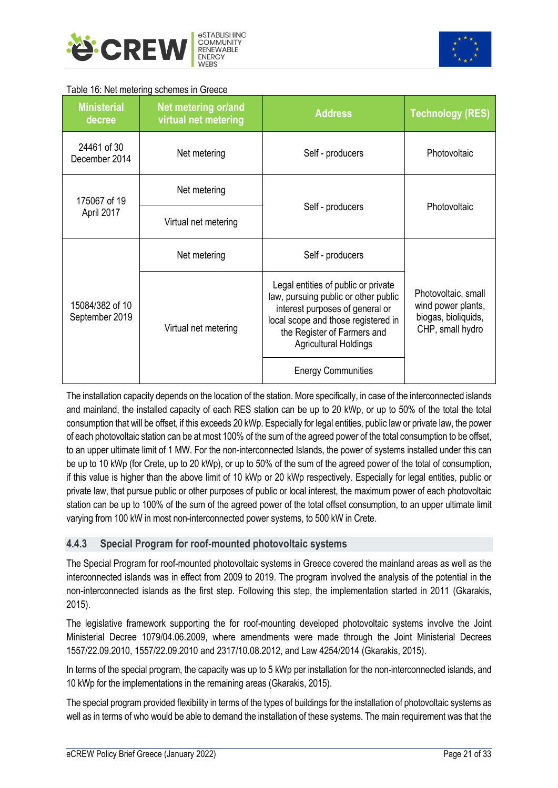<span id="page-22-1"></span>



#### Table 16: Net metering schemes in Greece

| <b>Ministerial</b><br>decree      | Net metering or/and<br>virtual net metering | <b>Address</b>                                                                                                                                                                                                       | <b>Technology (RES)</b>                                                              |  |
|-----------------------------------|---------------------------------------------|----------------------------------------------------------------------------------------------------------------------------------------------------------------------------------------------------------------------|--------------------------------------------------------------------------------------|--|
| 24461 of 30<br>December 2014      | Net metering                                | Self - producers                                                                                                                                                                                                     | Photovoltaic                                                                         |  |
| 175067 of 19                      | Net metering                                |                                                                                                                                                                                                                      | Photovoltaic                                                                         |  |
| April 2017                        | Virtual net metering                        | Self - producers                                                                                                                                                                                                     |                                                                                      |  |
|                                   | Net metering                                | Self - producers                                                                                                                                                                                                     |                                                                                      |  |
| 15084/382 of 10<br>September 2019 | Virtual net metering                        | Legal entities of public or private<br>law, pursuing public or other public<br>interest purposes of general or<br>local scope and those registered in<br>the Register of Farmers and<br><b>Agricultural Holdings</b> | Photovoltaic, small<br>wind power plants,<br>biogas, bioliquids,<br>CHP, small hydro |  |
|                                   |                                             | <b>Energy Communities</b>                                                                                                                                                                                            |                                                                                      |  |

The installation capacity depends on the location of the station. More specifically, in case of the interconnected islands and mainland, the installed capacity of each RES station can be up to 20 kWp, or up to 50% of the total the total consumption that will be offset, if this exceeds 20 kWp. Especially for legal entities, public law or private law, the power of each photovoltaic station can be at most 100% of the sum of the agreed power of the total consumption to be offset, to an upper ultimate limit of 1 MW. For the non-interconnected Islands, the power of systems installed under this can be up to 10 kWp (for Crete, up to 20 kWp), or up to 50% of the sum of the agreed power of the total of consumption, if this value is higher than the above limit of 10 kWp or 20 kWp respectively. Especially for legal entities, public or private law, that pursue public or other purposes of public or local interest, the maximum power of each photovoltaic station can be up to 100% of the sum of the agreed power of the total offset consumption, to an upper ultimate limit varying from 100 kW in most non-interconnected power systems, to 500 kW in Crete.

#### <span id="page-22-0"></span>**4.4.3 Special Program for roof-mounted photovoltaic systems**

The Special Program for roof-mounted photovoltaic systems in Greece covered the mainland areas as well as the interconnected islands was in effect from 2009 to 2019. The program involved the analysis of the potential in the non-interconnected islands as the first step. Following this step, the implementation started in 2011 (Gkarakis, 2015).

The legislative framework supporting the for roof-mounting developed photovoltaic systems involve the Joint Ministerial Decree 1079/04.06.2009, where amendments were made through the Joint Ministerial Decrees 1557/22.09.2010, 1557/22.09.2010 and 2317/10.08.2012, and Law 4254/2014 (Gkarakis, 2015).

In terms of the special program, the capacity was up to 5 kWp per installation for the non-interconnected islands, and 10 kWp for the implementations in the remaining areas (Gkarakis, 2015).

The special program provided flexibility in terms of the types of buildings for the installation of photovoltaic systems as well as in terms of who would be able to demand the installation of these systems. The main requirement was that the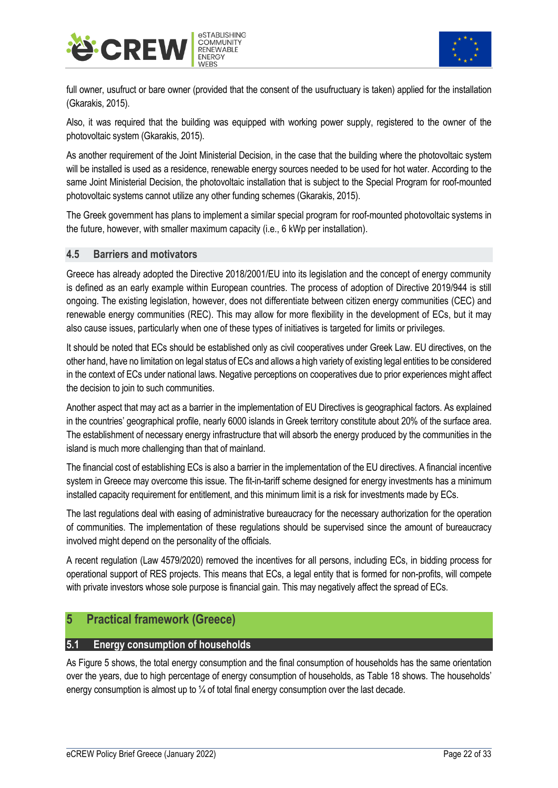



full owner, usufruct or bare owner (provided that the consent of the usufructuary is taken) applied for the installation (Gkarakis, 2015).

Also, it was required that the building was equipped with working power supply, registered to the owner of the photovoltaic system (Gkarakis, 2015).

As another requirement of the Joint Ministerial Decision, in the case that the building where the photovoltaic system will be installed is used as a residence, renewable energy sources needed to be used for hot water. According to the same Joint Ministerial Decision, the photovoltaic installation that is subject to the Special Program for roof-mounted photovoltaic systems cannot utilize any other funding schemes (Gkarakis, 2015).

The Greek government has plans to implement a similar special program for roof-mounted photovoltaic systems in the future, however, with smaller maximum capacity (i.e., 6 kWp per installation).

#### <span id="page-23-0"></span>**4.5 Barriers and motivators**

Greece has already adopted the Directive 2018/2001/EU into its legislation and the concept of energy community is defined as an early example within European countries. The process of adoption of Directive 2019/944 is still ongoing. The existing legislation, however, does not differentiate between citizen energy communities (CEC) and renewable energy communities (REC). This may allow for more flexibility in the development of ECs, but it may also cause issues, particularly when one of these types of initiatives is targeted for limits or privileges.

It should be noted that ECs should be established only as civil cooperatives under Greek Law. EU directives, on the other hand, have no limitation on legal status of ECs and allows a high variety of existing legal entities to be considered in the context of ECs under national laws. Negative perceptions on cooperatives due to prior experiences might affect the decision to join to such communities.

Another aspect that may act as a barrier in the implementation of EU Directives is geographical factors. As explained in the countries' geographical profile, nearly 6000 islands in Greek territory constitute about 20% of the surface area. The establishment of necessary energy infrastructure that will absorb the energy produced by the communities in the island is much more challenging than that of mainland.

The financial cost of establishing ECs is also a barrier in the implementation of the EU directives. A financial incentive system in Greece may overcome this issue. The fit-in-tariff scheme designed for energy investments has a minimum installed capacity requirement for entitlement, and this minimum limit is a risk for investments made by ECs.

The last regulations deal with easing of administrative bureaucracy for the necessary authorization for the operation of communities. The implementation of these regulations should be supervised since the amount of bureaucracy involved might depend on the personality of the officials.

A recent regulation (Law 4579/2020) removed the incentives for all persons, including ECs, in bidding process for operational support of RES projects. This means that ECs, a legal entity that is formed for non-profits, will compete with private investors whose sole purpose is financial gain. This may negatively affect the spread of ECs.

#### <span id="page-23-1"></span>**5 Practical framework (Greece)**

#### <span id="page-23-2"></span>**5.1 Energy consumption of households**

As Figure 5 shows, the total energy consumption and the final consumption of households has the same orientation over the years, due to high percentage of energy consumption of households, as Table 18 shows. The households' energy consumption is almost up to  $\frac{1}{4}$  of total final energy consumption over the last decade.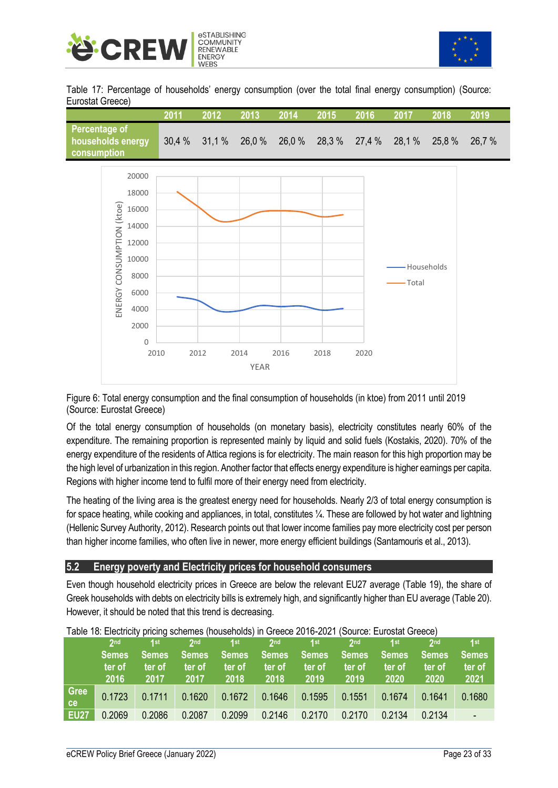<span id="page-24-1"></span>



Table 17: Percentage of households' energy consumption (over the total final energy consumption) (Source: Eurostat Greece)

|                                                                                                                                | 2011  | 2012  | 2013                | 2014          | 2015   | 2016  | 2017   | 2018        | 2019   |
|--------------------------------------------------------------------------------------------------------------------------------|-------|-------|---------------------|---------------|--------|-------|--------|-------------|--------|
| <b>Percentage of</b><br>households energy<br>consumption                                                                       | 30,4% | 31,1% |                     | 26,0 % 26,0 % | 28,3 % | 27,4% | 28,1%  | 25,8 %      | 26,7 % |
| 20000<br>18000<br>ENERGY CONSUMPTION (ktoe)<br>16000<br>14000<br>12000<br>10000<br>8000<br>6000<br>4000<br>2000<br>$\mathbf 0$ | 2010  | 2012  | 2014<br><b>YEAR</b> | 2016          | 2018   | 2020  | -Total | -Households |        |

Figure 6: Total energy consumption and the final consumption of households (in ktoe) from 2011 until 2019 (Source: Eurostat Greece)

Of the total energy consumption of households (on monetary basis), electricity constitutes nearly 60% of the expenditure. The remaining proportion is represented mainly by liquid and solid fuels (Kostakis, 2020). 70% of the energy expenditure of the residents of Attica regions is for electricity. The main reason for this high proportion may be the high level of urbanization in this region. Another factor that effects energy expenditure is higher earnings per capita. Regions with higher income tend to fulfil more of their energy need from electricity.

The heating of the living area is the greatest energy need for households. Nearly 2/3 of total energy consumption is for space heating, while cooking and appliances, in total, constitutes ¼. These are followed by hot water and lightning (Hellenic Survey Authority, 2012). Research points out that lower income families pay more electricity cost per person than higher income families, who often live in newer, more energy efficient buildings (Santamouris et al., 2013).

#### <span id="page-24-0"></span>**5.2 Energy poverty and Electricity prices for household consumers**

Even though household electricity prices in Greece are below the relevant EU27 average (Table 19), the share of Greek households with debts on electricity bills is extremely high, and significantly higher than EU average (Table 20). However, it should be noted that this trend is decreasing.

<span id="page-24-2"></span>

|             | 2 <sub>nd</sub>                | 4st                            | 2 <sub>nd</sub>          | 1 <sub>st</sub>         | 2 <sub>nd</sub>                | 1st                            | 2 <sub>nd</sub>                | 1st                             | 2 <sub>nd</sub>                | 1st                            |
|-------------|--------------------------------|--------------------------------|--------------------------|-------------------------|--------------------------------|--------------------------------|--------------------------------|---------------------------------|--------------------------------|--------------------------------|
|             | <b>Semes</b><br>ter of<br>2016 | <b>Semes</b><br>ter of<br>2017 | /Semes<br>ter of<br>2017 | Semes<br>ter of<br>2018 | <b>Semes</b><br>ter of<br>2018 | <b>Semes</b><br>ter of<br>2019 | <b>Semes</b><br>ter of<br>2019 | <b>Semes</b><br>′ter of<br>2020 | <b>Semes</b><br>ter of<br>2020 | <b>Semes</b><br>ter of<br>2021 |
| Gree<br>ce  | 0.1723                         | 0.1711                         | 0.1620                   | 0.1672                  | 0.1646                         | 0.1595                         | 0.1551                         | 0.1674                          | 0.1641                         | 0.1680                         |
| <b>EU27</b> | 0.2069                         | 0.2086                         | 0.2087                   | 0.2099                  | 0.2146                         | 0.2170                         | 0.2170                         | 0.2134                          | 0.2134                         |                                |

Table 18: Electricity pricing schemes (households) in Greece 2016-2021 (Source: Eurostat Greece)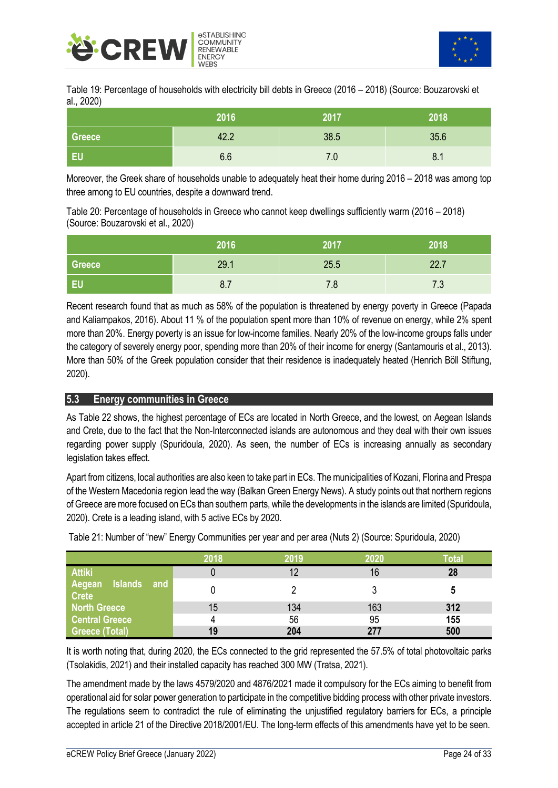<span id="page-25-1"></span>



Table 19: Percentage of households with electricity bill debts in Greece (2016 – 2018) (Source: Bouzarovski et al., 2020)

|               | 2016 | 2017 | 2018 |
|---------------|------|------|------|
| <b>Greece</b> | 42.2 | 38.5 | 35.6 |
| EU            | 6.6  | 7.0  | 8.1  |

Moreover, the Greek share of households unable to adequately heat their home during 2016 – 2018 was among top three among to EU countries, despite a downward trend.

Table 20: Percentage of households in Greece who cannot keep dwellings sufficiently warm (2016 – 2018) (Source: Bouzarovski et al., 2020)

|        | 2016 | 2017 | 2018                      |
|--------|------|------|---------------------------|
| Greece | 29.1 | 25.5 | 22.7                      |
| EU     | 8.7  | 7.8  | 72<br>$\cdot \cdot \cdot$ |

Recent research found that as much as 58% of the population is threatened by energy poverty in Greece (Papada and Kaliampakos, 2016). About 11 % of the population spent more than 10% of revenue on energy, while 2% spent more than 20%. Energy poverty is an issue for low-income families. Nearly 20% of the low-income groups falls under the category of severely energy poor, spending more than 20% of their income for energy (Santamouris et al., 2013). More than 50% of the Greek population consider that their residence is inadequately heated (Henrich Böll Stiftung, 2020).

#### <span id="page-25-0"></span>**5.3 Energy communities in Greece**

As Table 22 shows, the highest percentage of ECs are located in North Greece, and the lowest, on Aegean Islands and Crete, due to the fact that the Non-Interconnected islands are autonomous and they deal with their own issues regarding power supply (Spuridoula, 2020). As seen, the number of ECs is increasing annually as secondary legislation takes effect.

Apart from citizens, local authorities are also keen to take part in ECs. The municipalities of Kozani, Florina and Prespa of the Western Macedonia region lead the way (Balkan Green Energy News). A study points out that northern regions of Greece are more focused on ECs than southern parts, while the developments in the islands are limited (Spuridoula, 2020). Crete is a leading island, with 5 active ECs by 2020.

|                                                 | 2018 | 2019 | 2020 | Гоtal |
|-------------------------------------------------|------|------|------|-------|
| <b>Attiki</b>                                   |      | 12   | 16   | 28    |
| <b>Islands</b><br>Aegean<br>and<br><b>Crete</b> |      |      |      | 5     |
| North Greece                                    | 15   | 134  | 163  | 312   |
| <b>Central Greece</b>                           |      | 56   | 95   | 155   |
| <b>Greece (Total)</b>                           | 19   | 204  | 277  | 500   |

Table 21: Number of "new" Energy Communities per year and per area (Nuts 2) (Source: Spuridoula, 2020)

It is worth noting that, during 2020, the ECs connected to the grid represented the 57.5% of total photovoltaic parks (Tsolakidis, 2021) and their installed capacity has reached 300 MW (Tratsa, 2021).

The amendment made by the laws 4579/2020 and 4876/2021 made it compulsory for the ECs aiming to benefit from operational aid for solar power generation to participate in the competitive bidding process with other private investors. The regulations seem to contradict the rule of eliminating the unjustified regulatory barriers for ECs, a principle accepted in article 21 of the Directive 2018/2001/EU. The long-term effects of this amendments have yet to be seen.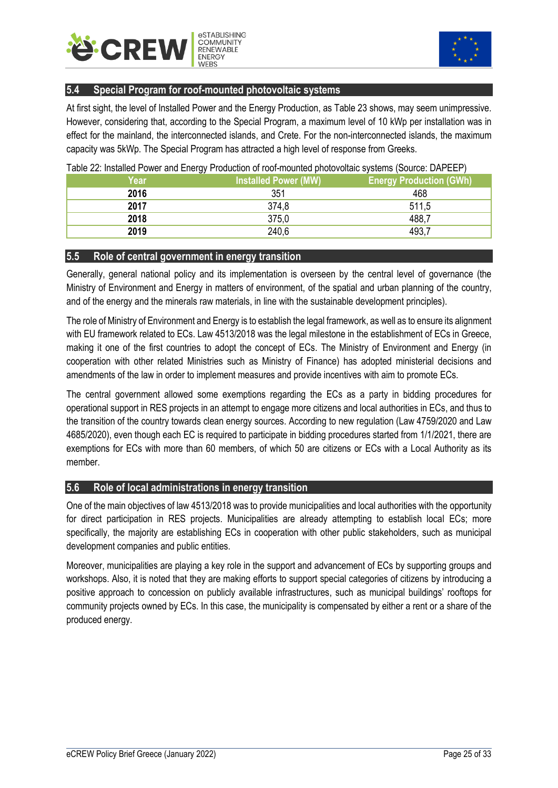<span id="page-26-3"></span>



#### <span id="page-26-0"></span>**5.4 Special Program for roof-mounted photovoltaic systems**

At first sight, the level of Installed Power and the Energy Production, as Table 23 shows, may seem unimpressive. However, considering that, according to the Special Program, a maximum level of 10 kWp per installation was in effect for the mainland, the interconnected islands, and Crete. For the non-interconnected islands, the maximum capacity was 5kWp. The Special Program has attracted a high level of response from Greeks.

| Year | . .<br><b>Installed Power (MW)</b> | <b>Energy Production (GWh)</b> |
|------|------------------------------------|--------------------------------|
| 2016 | 351                                | 468                            |
| 2017 | 374,8                              | 511,5                          |
| 2018 | 375,0                              | 488,7                          |
| 2019 | 240,6                              | 493,7                          |

#### Table 22: Installed Power and Energy Production of roof-mounted photovoltaic systems (Source: DAPEEP)

#### <span id="page-26-1"></span>**5.5 Role of central government in energy transition**

Generally, general national policy and its implementation is overseen by the central level of governance (the Ministry of Environment and Energy in matters of environment, of the spatial and urban planning of the country, and of the energy and the minerals raw materials, in line with the sustainable development principles).

The role of Ministry of Environment and Energy is to establish the legal framework, as well as to ensure its alignment with EU framework related to ECs. Law 4513/2018 was the legal milestone in the establishment of ECs in Greece, making it one of the first countries to adopt the concept of ECs. The Ministry of Environment and Energy (in cooperation with other related Ministries such as Ministry of Finance) has adopted ministerial decisions and amendments of the law in order to implement measures and provide incentives with aim to promote ECs.

The central government allowed some exemptions regarding the ECs as a party in bidding procedures for operational support in RES project[s in an attempt to](https://www.wordhippo.com/what-is/another-word-for/in_an_attempt_to.html) engage more citizens and local authorities in ECs, and thus to the transition of the country towards clean energy sources. According to new regulation (Law 4759/2020 and Law 4685/2020), even though each EC is required to participate in bidding procedures started from 1/1/2021, there are exemptions for ECs with more than 60 members, of which 50 are citizens or ECs with a Local Authority as its member.

#### <span id="page-26-2"></span>**5.6 Role of local administrations in energy transition**

One of the main objectives of law 4513/2018 was to provide municipalities and local authorities with the opportunity for direct participation in RES projects. Municipalities are already attempting to establish local ECs; more specifically, the majority are establishing ECs in cooperation with other public stakeholders, such as municipal development companies and public entities.

Moreover, municipalities are playing a key role in the support and advancement of ECs by supporting groups and workshops. Also, it is noted that they are making efforts to support special categories of citizens by introducing a positive approach to concession on publicly available infrastructures, such as municipal buildings' rooftops for community projects owned by ECs. In this case, the municipality is compensated by either a rent or a share of the produced energy.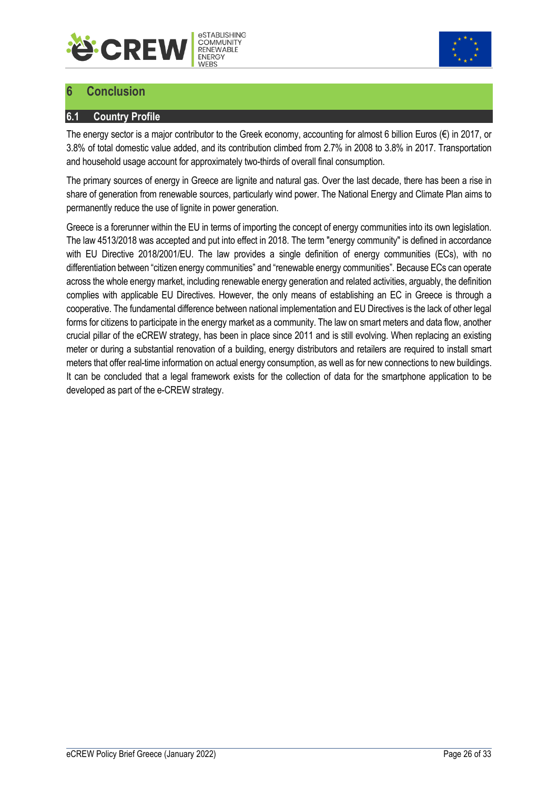



## <span id="page-27-0"></span>**6 Conclusion**

#### <span id="page-27-1"></span>**6.1 Country Profile**

The energy sector is a major contributor to the Greek economy, accounting for almost 6 billion Euros (€) in 2017, or 3.8% of total domestic value added, and its contribution climbed from 2.7% in 2008 to 3.8% in 2017. Transportation and household usage account for approximately two-thirds of overall final consumption.

The primary sources of energy in Greece are lignite and natural gas. Over the last decade, there has been a rise in share of generation from renewable sources, particularly wind power. The National Energy and Climate Plan aims to permanently reduce the use of lignite in power generation.

Greece is a forerunner within the EU in terms of importing the concept of energy communities into its own legislation. The law 4513/2018 was accepted and put into effect in 2018. The term "energy community" is defined in accordance with EU Directive 2018/2001/EU. The law provides a single definition of energy communities (ECs), with no differentiation between "citizen energy communities" and "renewable energy communities". Because ECs can operate across the whole energy market, including renewable energy generation and related activities, arguably, the definition complies with applicable EU Directives. However, the only means of establishing an EC in Greece is through a cooperative. The fundamental difference between national implementation and EU Directives is the lack of other legal forms for citizens to participate in the energy market as a community. The law on smart meters and data flow, another crucial pillar of the eCREW strategy, has been in place since 2011 and is still evolving. When replacing an existing meter or during a substantial renovation of a building, energy distributors and retailers are required to install smart meters that offer real-time information on actual energy consumption, as well as for new connections to new buildings. It can be concluded that a legal framework exists for the collection of data for the smartphone application to be developed as part of the e-CREW strategy.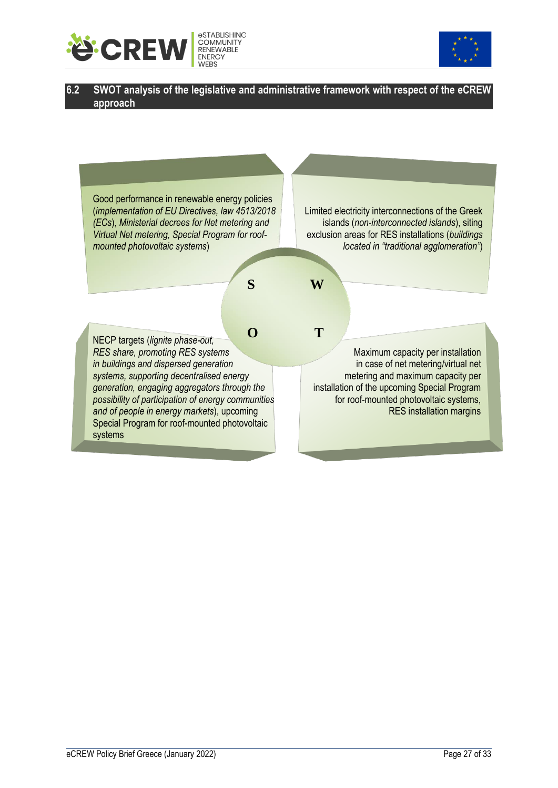



#### <span id="page-28-0"></span>**6.2 SWOT analysis of the legislative and administrative framework with respect of the eCREW approach**

Good performance in renewable energy policies (*implementation of EU Directives, law 4513/2018 (ECs*), *Ministerial decrees for Net metering and Virtual Net metering, Special Program for roofmounted photovoltaic systems*)

Limited electricity interconnections of the Greek islands (*non-interconnected islands*), siting exclusion areas for RES installations (*buildings located in "traditional agglomeration"*)

**S W**

NECP targets (*lignite phase-out, RES share, promoting RES systems in buildings and dispersed generation systems, supporting decentralised energy generation, engaging aggregators through the possibility of participation of energy communities and of people in energy markets*), upcoming Special Program for roof-mounted photovoltaic systems **O T**

 Maximum capacity per installation in case of net metering/virtual net metering and maximum capacity per installation of the upcoming Special Program for roof-mounted photovoltaic systems, RES installation margins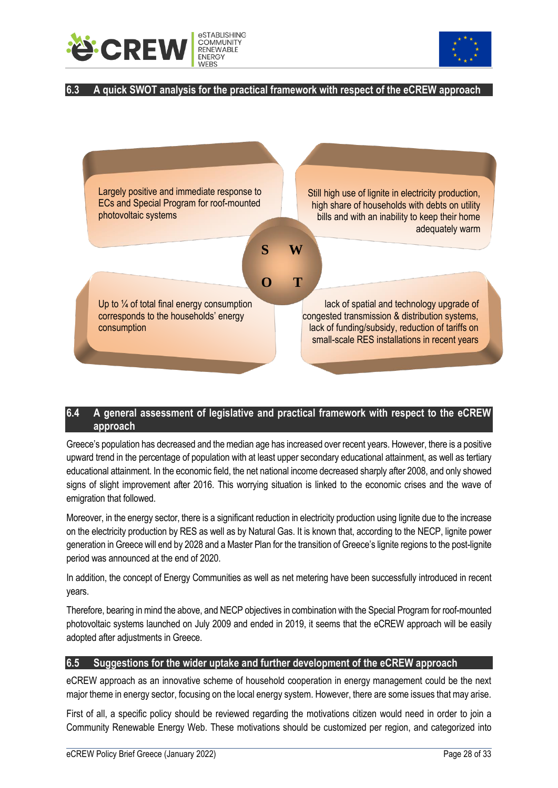



#### <span id="page-29-0"></span>**6.3 A quick SWOT analysis for the practical framework with respect of the eCREW approach**



#### <span id="page-29-1"></span>**6.4 A general assessment of legislative and practical framework with respect to the eCREW approach**

Greece's population has decreased and the median age has increased over recent years. However, there is a positive upward trend in the percentage of population with at least upper secondary educational attainment, as well as tertiary educational attainment. In the economic field, the net national income decreased sharply after 2008, and only showed signs of slight improvement after 2016. This worrying situation is linked to the economic crises and the wave of emigration that followed.

Moreover, in the energy sector, there is a significant reduction in electricity production using lignite due to the increase on the electricity production by RES as well as by Natural Gas. It is known that, according to the NECP, lignite power generation in Greece will end by 2028 and a Master Plan for the transition of Greece's lignite regions to the post-lignite period was announced at the end of 2020.

In addition, the concept of Energy Communities as well as net metering have been successfully introduced in recent years.

Therefore, bearing in mind the above, and NECP objectives in combination with the Special Program for roof-mounted photovoltaic systems launched on July 2009 and ended in 2019, it seems that the eCREW approach will be easily adopted after adjustments in Greece.

#### <span id="page-29-2"></span>**6.5 Suggestions for the wider uptake and further development of the eCREW approach**

eCREW approach as an innovative scheme of household cooperation in energy management could be the next major theme in energy sector, focusing on the local energy system. However, there are some issues that may arise.

First of all, a specific policy should be reviewed regarding the motivations citizen would need in order to join a Community Renewable Energy Web. These motivations should be customized per region, and categorized into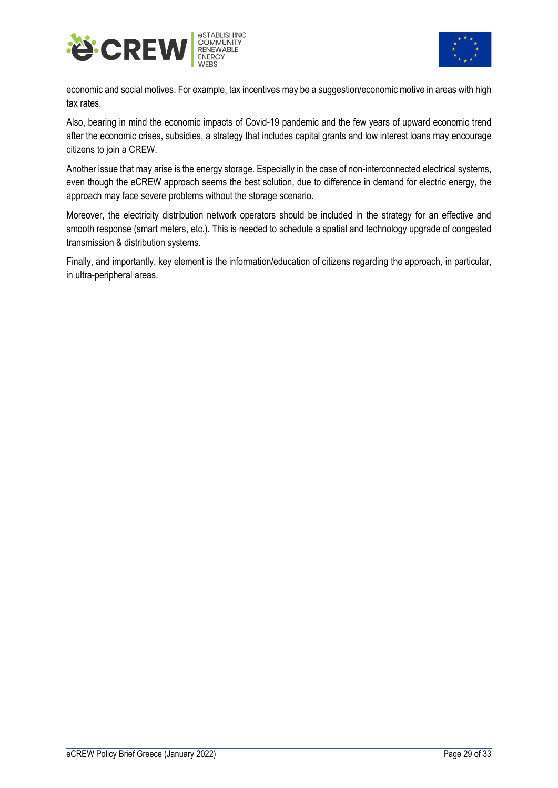



economic and social motives. For example, tax incentives may be a suggestion/economic motive in areas with high tax rates.

Also, bearing in mind the economic impacts of Covid-19 pandemic and the few years of upward economic trend after the economic crises, subsidies, a strategy that includes capital grants and low interest loans may encourage citizens to join a CREW.

Another issue that may arise is the energy storage. Especially in the case of non-interconnected electrical systems, even though the eCREW approach seems the best solution, due to difference in demand for electric energy, the approach may face severe problems without the storage scenario.

Moreover, the electricity distribution network operators should be included in the strategy for an effective and smooth response (smart meters, etc.). This is needed to schedule a spatial and technology upgrade of congested transmission & distribution systems.

Finally, and importantly, key element is the information/education of citizens regarding the approach, in particular, in ultra-peripheral areas.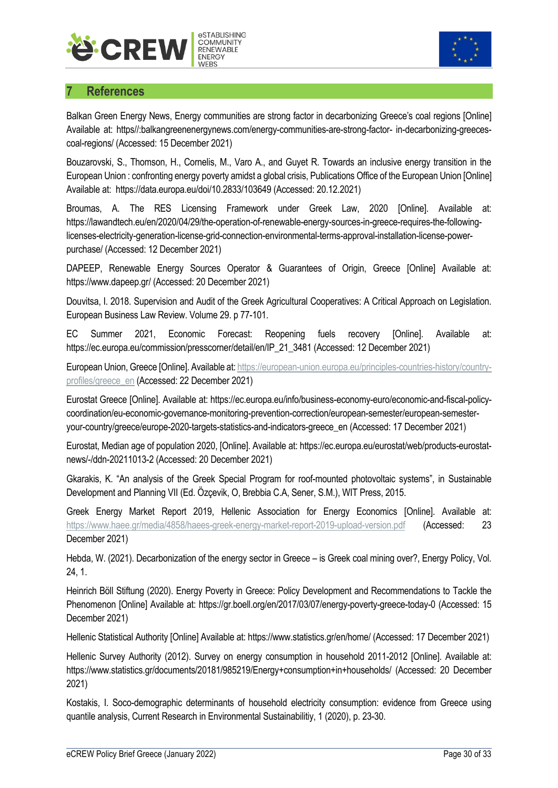



## <span id="page-31-0"></span>**7 References**

Balkan Green Energy News, Energy communities are strong factor in decarbonizing Greece's coal regions [Online] Available at: https//:balkangreenenergynews.com/energy-communities-are-strong-factor- in-decarbonizing-greecescoal-regions/ (Accessed: 15 December 2021)

Bouzarovski, S., Thomson, H., Cornelis, M., Varo A., and Guyet R. Towards an inclusive energy transition in the European Union : confronting energy poverty amidst a global crisis, Publications Office of the European Union [Online] Available at: https://data.europa.eu/doi/10.2833/103649 (Accessed: 20.12.2021)

Broumas, A. The RES Licensing Framework under Greek Law, 2020 [Online]. Available at: https://lawandtech.eu/en/2020/04/29/the-operation-of-renewable-energy-sources-in-greece-requires-the-followinglicenses-electricity-generation-license-grid-connection-environmental-terms-approval-installation-license-powerpurchase/ (Accessed: 12 December 2021)

DAPEEP, Renewable Energy Sources Operator & Guarantees of Origin, Greece [Online] Available at: https://www.dapeep.gr/ (Accessed: 20 December 2021)

Douvitsa, I. 2018. Supervision and Audit of the Greek Agricultural Cooperatives: A Critical Approach on Legislation. European Business Law Review. Volume 29. p 77-101.

EC Summer 2021, Economic Forecast: Reopening fuels recovery [Online]. Available at: https://ec.europa.eu/commission/presscorner/detail/en/IP\_21\_3481 (Accessed: 12 December 2021)

European Union, Greece [Online]. Available at[: https://european-union.europa.eu/principles-countries-history/country](https://european-union.europa.eu/principles-countries-history/country-profiles/greece_en)[profiles/greece\\_en](https://european-union.europa.eu/principles-countries-history/country-profiles/greece_en) (Accessed: 22 December 2021)

Eurostat Greece [Online]. Available at: https://ec.europa.eu/info/business-economy-euro/economic-and-fiscal-policycoordination/eu-economic-governance-monitoring-prevention-correction/european-semester/european-semesteryour-country/greece/europe-2020-targets-statistics-and-indicators-greece\_en (Accessed: 17 December 2021)

Eurostat, Median age of population 2020, [Online]. Available at: https://ec.europa.eu/eurostat/web/products-eurostatnews/-/ddn-20211013-2 (Accessed: 20 December 2021)

Gkarakis, K. "An analysis of the Greek Special Program for roof-mounted photovoltaic systems", in Sustainable Development and Planning VII (Ed. Özçevik, O, Brebbia C.A, Sener, S.M.), WIT Press, 2015.

Greek Energy Market Report 2019, Hellenic Association for Energy Economics [Online]. Available at: <https://www.haee.gr/media/4858/haees-greek-energy-market-report-2019-upload-version.pdf> (Accessed: 23 December 2021)

Hebda, W. (2021). Decarbonization of the energy sector in Greece – is Greek coal mining over?, Energy Policy, Vol. 24, 1.

Heinrich Böll Stiftung (2020). Energy Poverty in Greece: Policy Development and Recommendations to Tackle the Phenomenon [Online] Available at: https://gr.boell.org/en/2017/03/07/energy-poverty-greece-today-0 (Accessed: 15 December 2021)

Hellenic Statistical Authority [Online] Available at: https://www.statistics.gr/en/home/ (Accessed: 17 December 2021)

Hellenic Survey Authority (2012). Survey on energy consumption in household 2011-2012 [Online]. Available at: https://www.statistics.gr/documents/20181/985219/Energy+consumption+in+households/ (Accessed: 20 December 2021)

Kostakis, I. Soco-demographic determinants of household electricity consumption: evidence from Greece using quantile analysis, Current Research in Environmental Sustainabilitiy, 1 (2020), p. 23-30.